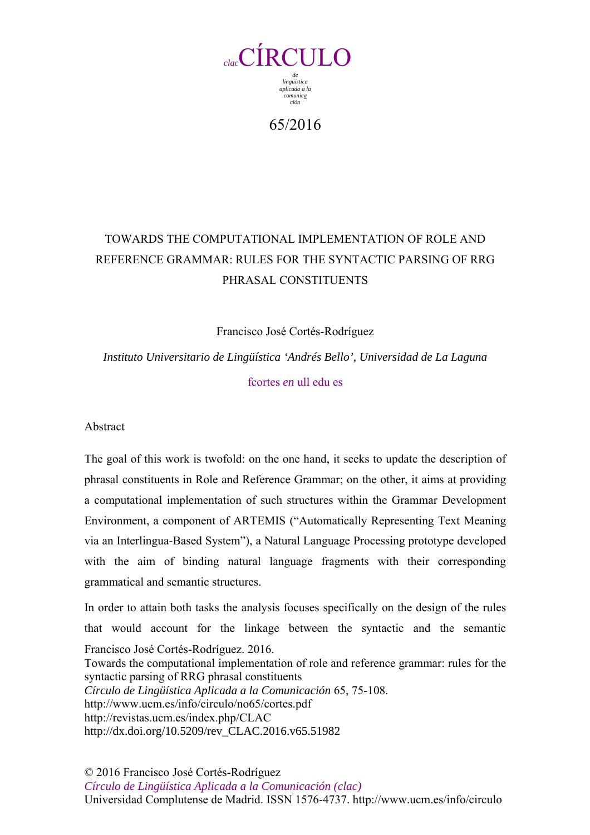

65/2016

# TOWARDS THE COMPUTATIONAL IMPLEMENTATION OF ROLE AND REFERENCE GRAMMAR: RULES FOR THE SYNTACTIC PARSING OF RRG PHRASAL CONSTITUENTS

Francisco José Cortés-Rodríguez

*Instituto Universitario de Lingüística 'Andrés Bello', Universidad de La Laguna*  fcortes *en* ull edu es

Abstract

The goal of this work is twofold: on the one hand, it seeks to update the description of phrasal constituents in Role and Reference Grammar; on the other, it aims at providing a computational implementation of such structures within the Grammar Development Environment, a component of ARTEMIS ("Automatically Representing Text Meaning via an Interlingua-Based System"), a Natural Language Processing prototype developed with the aim of binding natural language fragments with their corresponding grammatical and semantic structures.

Francisco José Cortés-Rodríguez. 2016. Towards the computational implementation of role and reference grammar: rules for the syntactic parsing of RRG phrasal constituents *Círculo de Lingüística Aplicada a la Comunicación* 65, 75-108. http://www.ucm.es/info/circulo/no65/cortes.pdf http://revistas.ucm.es/index.php/CLAC http://dx.doi.org/10.5209/rev\_CLAC.2016.v65.51982 In order to attain both tasks the analysis focuses specifically on the design of the rules that would account for the linkage between the syntactic and the semantic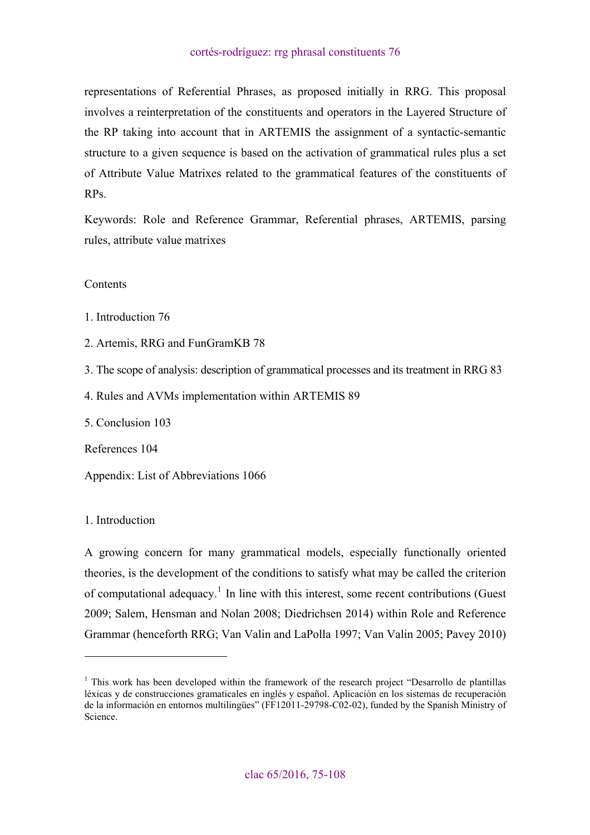<span id="page-1-0"></span>representations of Referential Phrases, as proposed initially in RRG. This proposal involves a reinterpretation of the constituents and operators in the Layered Structure of the RP taking into account that in ARTEMIS the assignment of a syntactic-semantic structure to a given sequence is based on the activation of grammatical rules plus a set of Attribute Value Matrixes related to the grammatical features of the constituents of RPs.

Keywords: Role and Reference Grammar, Referential phrases, ARTEMIS, parsing rules, attribute value matrixes

### **Contents**

[1. Introduction 76](#page-1-0)

[2. Artemis, RRG and FunGramKB 78](#page-3-0)

[3. The scope of analysis: description of grammatical processes and its treatment in RRG 83](#page-8-0)

[4. Rules and AVMs implementation within ARTEMIS 89](#page-14-0)

[5. Conclusion 103](#page-28-0)

[References 104](#page-29-0)

[Appendix: List of Abbreviations 1066](#page-31-0)

1. Introduction

 $\overline{a}$ 

A growing concern for many grammatical models, especially functionally oriented theories, is the development of the conditions to satisfy what may be called the criterion of computational adequacy.<sup>[1](#page-1-1)</sup> In line with this interest, some recent contributions (Guest 2009; Salem, Hensman and Nolan 2008; Diedrichsen 2014) within Role and Reference Grammar (henceforth RRG; Van Valin and LaPolla 1997; Van Valin 2005; Pavey 2010)

<span id="page-1-1"></span><sup>&</sup>lt;sup>1</sup> This work has been developed within the framework of the research project "Desarrollo de plantillas léxicas y de construcciones gramaticales en inglés y español. Aplicación en los sistemas de recuperación de la información en entornos multilingües" (FF12011-29798-C02-02), funded by the Spanish Ministry of Science.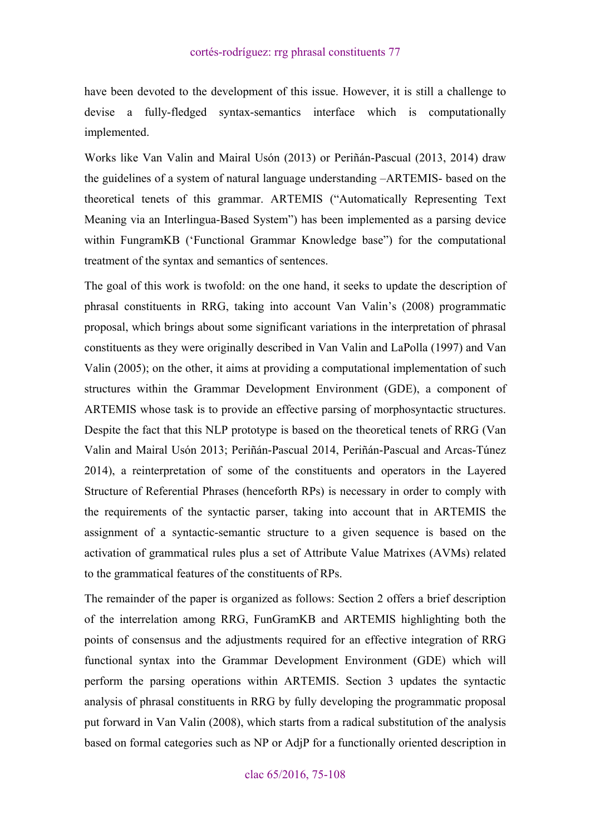have been devoted to the development of this issue. However, it is still a challenge to devise a fully-fledged syntax-semantics interface which is computationally implemented.

Works like Van Valin and Mairal Usón (2013) or Periñán-Pascual (2013, 2014) draw the guidelines of a system of natural language understanding –ARTEMIS- based on the theoretical tenets of this grammar. ARTEMIS ("Automatically Representing Text Meaning via an Interlingua-Based System") has been implemented as a parsing device within FungramKB ('Functional Grammar Knowledge base") for the computational treatment of the syntax and semantics of sentences.

The goal of this work is twofold: on the one hand, it seeks to update the description of phrasal constituents in RRG, taking into account Van Valin's (2008) programmatic proposal, which brings about some significant variations in the interpretation of phrasal constituents as they were originally described in Van Valin and LaPolla (1997) and Van Valin (2005); on the other, it aims at providing a computational implementation of such structures within the Grammar Development Environment (GDE), a component of ARTEMIS whose task is to provide an effective parsing of morphosyntactic structures. Despite the fact that this NLP prototype is based on the theoretical tenets of RRG (Van Valin and Mairal Usón 2013; Periñán-Pascual 2014, Periñán-Pascual and Arcas-Túnez 2014), a reinterpretation of some of the constituents and operators in the Layered Structure of Referential Phrases (henceforth RPs) is necessary in order to comply with the requirements of the syntactic parser, taking into account that in ARTEMIS the assignment of a syntactic-semantic structure to a given sequence is based on the activation of grammatical rules plus a set of Attribute Value Matrixes (AVMs) related to the grammatical features of the constituents of RPs.

The remainder of the paper is organized as follows: Section 2 offers a brief description of the interrelation among RRG, FunGramKB and ARTEMIS highlighting both the points of consensus and the adjustments required for an effective integration of RRG functional syntax into the Grammar Development Environment (GDE) which will perform the parsing operations within ARTEMIS. Section 3 updates the syntactic analysis of phrasal constituents in RRG by fully developing the programmatic proposal put forward in Van Valin (2008), which starts from a radical substitution of the analysis based on formal categories such as NP or AdjP for a functionally oriented description in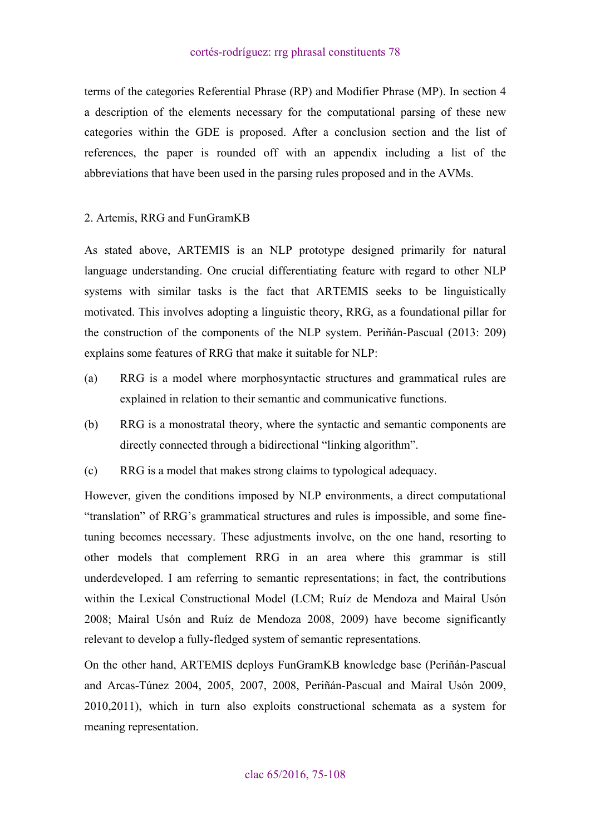<span id="page-3-0"></span>terms of the categories Referential Phrase (RP) and Modifier Phrase (MP). In section 4 a description of the elements necessary for the computational parsing of these new categories within the GDE is proposed. After a conclusion section and the list of references, the paper is rounded off with an appendix including a list of the abbreviations that have been used in the parsing rules proposed and in the AVMs.

# 2. Artemis, RRG and FunGramKB

As stated above, ARTEMIS is an NLP prototype designed primarily for natural language understanding. One crucial differentiating feature with regard to other NLP systems with similar tasks is the fact that ARTEMIS seeks to be linguistically motivated. This involves adopting a linguistic theory, RRG, as a foundational pillar for the construction of the components of the NLP system. Periñán-Pascual (2013: 209) explains some features of RRG that make it suitable for NLP:

- (a) RRG is a model where morphosyntactic structures and grammatical rules are explained in relation to their semantic and communicative functions.
- (b) RRG is a monostratal theory, where the syntactic and semantic components are directly connected through a bidirectional "linking algorithm".
- (c) RRG is a model that makes strong claims to typological adequacy.

However, given the conditions imposed by NLP environments, a direct computational "translation" of RRG's grammatical structures and rules is impossible, and some finetuning becomes necessary. These adjustments involve, on the one hand, resorting to other models that complement RRG in an area where this grammar is still underdeveloped. I am referring to semantic representations; in fact, the contributions within the Lexical Constructional Model (LCM; Ruíz de Mendoza and Mairal Usón 2008; Mairal Usón and Ruíz de Mendoza 2008, 2009) have become significantly relevant to develop a fully-fledged system of semantic representations.

On the other hand, ARTEMIS deploys FunGramKB knowledge base (Periñán-Pascual and Arcas-Túnez 2004, 2005, 2007, 2008, Periñán-Pascual and Mairal Usón 2009, 2010,2011), which in turn also exploits constructional schemata as a system for meaning representation.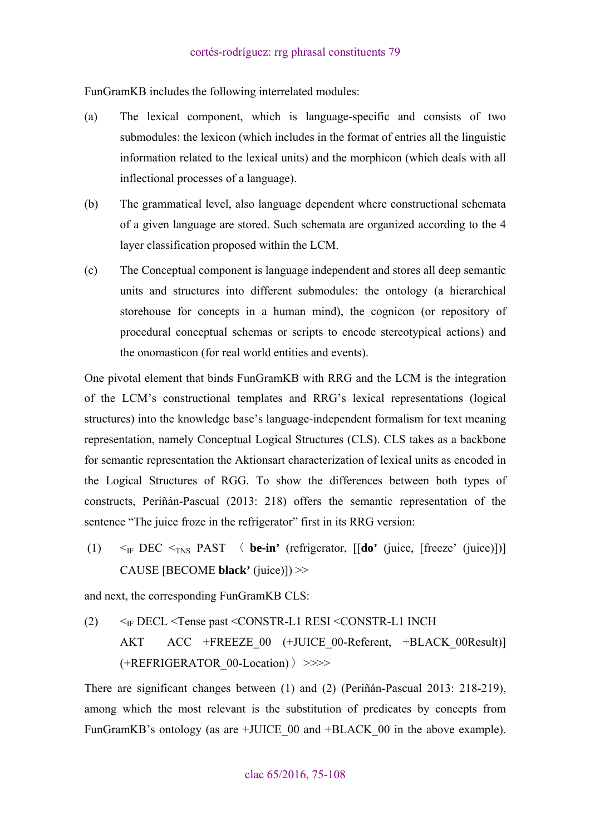FunGramKB includes the following interrelated modules:

- (a) The lexical component, which is language-specific and consists of two submodules: the lexicon (which includes in the format of entries all the linguistic information related to the lexical units) and the morphicon (which deals with all inflectional processes of a language).
- (b) The grammatical level, also language dependent where constructional schemata of a given language are stored. Such schemata are organized according to the 4 layer classification proposed within the LCM.
- (c) The Conceptual component is language independent and stores all deep semantic units and structures into different submodules: the ontology (a hierarchical storehouse for concepts in a human mind), the cognicon (or repository of procedural conceptual schemas or scripts to encode stereotypical actions) and the onomasticon (for real world entities and events).

One pivotal element that binds FunGramKB with RRG and the LCM is the integration of the LCM's constructional templates and RRG's lexical representations (logical structures) into the knowledge base's language-independent formalism for text meaning representation, namely Conceptual Logical Structures (CLS). CLS takes as a backbone for semantic representation the Aktionsart characterization of lexical units as encoded in the Logical Structures of RGG. To show the differences between both types of constructs, Periñán-Pascual (2013: 218) offers the semantic representation of the sentence "The juice froze in the refrigerator" first in its RRG version:

(1)  $\leq_{\text{IF}} \text{DEC} \leq_{\text{INS}} \text{PAST}$   $\langle$  **be-in'** (refrigerator,  $\left[\text{Ido}' \text{ (juice, [freeze' (juice)]})\right]$ CAUSE [BECOME **black'** (juice)]) >>

and next, the corresponding FunGramKB CLS:

(2)  $\leq$ <sub>IF</sub> DECL  $\leq$ Tense past  $\leq$ CONSTR-L1 RESI  $\leq$ CONSTR-L1 INCH AKT ACC +FREEZE\_00 (+JUICE\_00-Referent, +BLACK\_00Result)]  $(+REFRIGERATOR$  00-Location)  $\rangle$  >>>>

There are significant changes between (1) and (2) (Periñán-Pascual 2013: 218-219), among which the most relevant is the substitution of predicates by concepts from FunGramKB's ontology (as are +JUICE 00 and +BLACK 00 in the above example).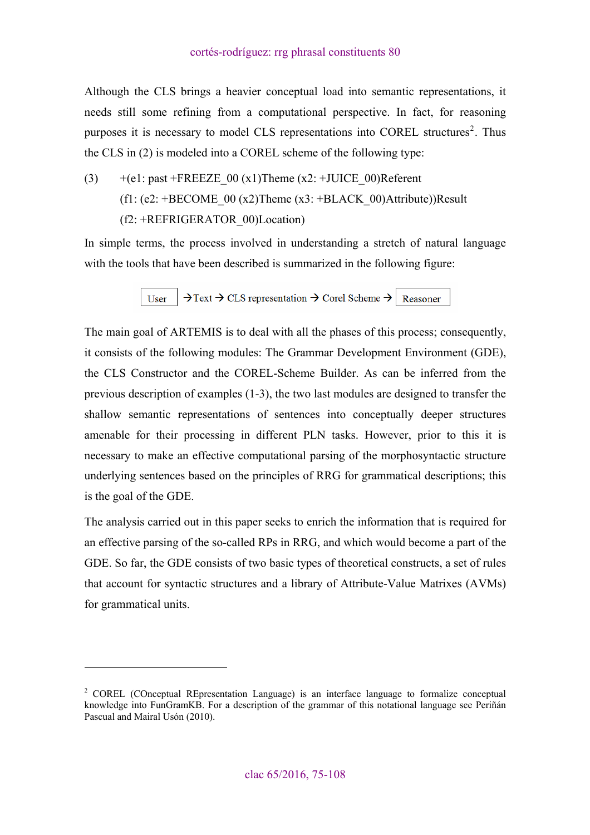Although the CLS brings a heavier conceptual load into semantic representations, it needs still some refining from a computational perspective. In fact, for reasoning purposes it is necessary to model CLS representations into COREL structures<sup>[2](#page-5-0)</sup>. Thus the CLS in (2) is modeled into a COREL scheme of the following type:

(3)  $+(e1: past +FREEZE_00 (x1)Then (x2: +JUICE_00)Referent)$  $(f1: (e2: +BECOME 00 (x2))$ Theme  $(x3: +BLACK 00)$ Attribute))Result (f2: +REFRIGERATOR\_00)Location)

In simple terms, the process involved in understanding a stretch of natural language with the tools that have been described is summarized in the following figure:

> $\rightarrow$  Text  $\rightarrow$  CLS representation  $\rightarrow$  Corel Scheme  $\rightarrow$  Reasoner User

The main goal of ARTEMIS is to deal with all the phases of this process; consequently, it consists of the following modules: The Grammar Development Environment (GDE), the CLS Constructor and the COREL-Scheme Builder. As can be inferred from the previous description of examples (1-3), the two last modules are designed to transfer the shallow semantic representations of sentences into conceptually deeper structures amenable for their processing in different PLN tasks. However, prior to this it is necessary to make an effective computational parsing of the morphosyntactic structure underlying sentences based on the principles of RRG for grammatical descriptions; this is the goal of the GDE.

The analysis carried out in this paper seeks to enrich the information that is required for an effective parsing of the so-called RPs in RRG, and which would become a part of the GDE. So far, the GDE consists of two basic types of theoretical constructs, a set of rules that account for syntactic structures and a library of Attribute-Value Matrixes (AVMs) for grammatical units.

 $\overline{a}$ 

<span id="page-5-0"></span><sup>&</sup>lt;sup>2</sup> COREL (COnceptual REpresentation Language) is an interface language to formalize conceptual knowledge into FunGramKB. For a description of the grammar of this notational language see Periñán Pascual and Mairal Usón (2010).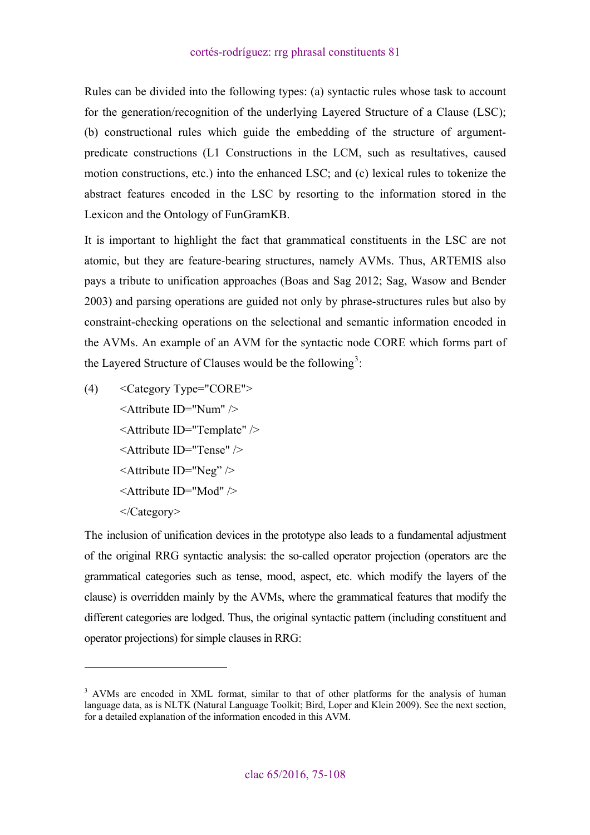Rules can be divided into the following types: (a) syntactic rules whose task to account for the generation/recognition of the underlying Layered Structure of a Clause (LSC); (b) constructional rules which guide the embedding of the structure of argumentpredicate constructions (L1 Constructions in the LCM, such as resultatives, caused motion constructions, etc.) into the enhanced LSC; and (c) lexical rules to tokenize the abstract features encoded in the LSC by resorting to the information stored in the Lexicon and the Ontology of FunGramKB.

It is important to highlight the fact that grammatical constituents in the LSC are not atomic, but they are feature-bearing structures, namely AVMs. Thus, ARTEMIS also pays a tribute to unification approaches (Boas and Sag 2012; Sag, Wasow and Bender 2003) and parsing operations are guided not only by phrase-structures rules but also by constraint-checking operations on the selectional and semantic information encoded in the AVMs. An example of an AVM for the syntactic node CORE which forms part of the Layered Structure of Clauses would be the following<sup>[3](#page-6-0)</sup>:

(4) <Category Type="CORE"> <Attribute ID="Num" /> <Attribute ID="Template" /> <Attribute ID="Tense" /> <Attribute ID="Neg" /> <Attribute ID="Mod" /> </Category>

 $\overline{a}$ 

The inclusion of unification devices in the prototype also leads to a fundamental adjustment of the original RRG syntactic analysis: the so-called operator projection (operators are the grammatical categories such as tense, mood, aspect, etc. which modify the layers of the clause) is overridden mainly by the AVMs, where the grammatical features that modify the different categories are lodged. Thus, the original syntactic pattern (including constituent and operator projections) for simple clauses in RRG:

<span id="page-6-0"></span><sup>&</sup>lt;sup>3</sup> AVMs are encoded in XML format, similar to that of other platforms for the analysis of human language data, as is NLTK (Natural Language Toolkit; Bird, Loper and Klein 2009). See the next section, for a detailed explanation of the information encoded in this AVM.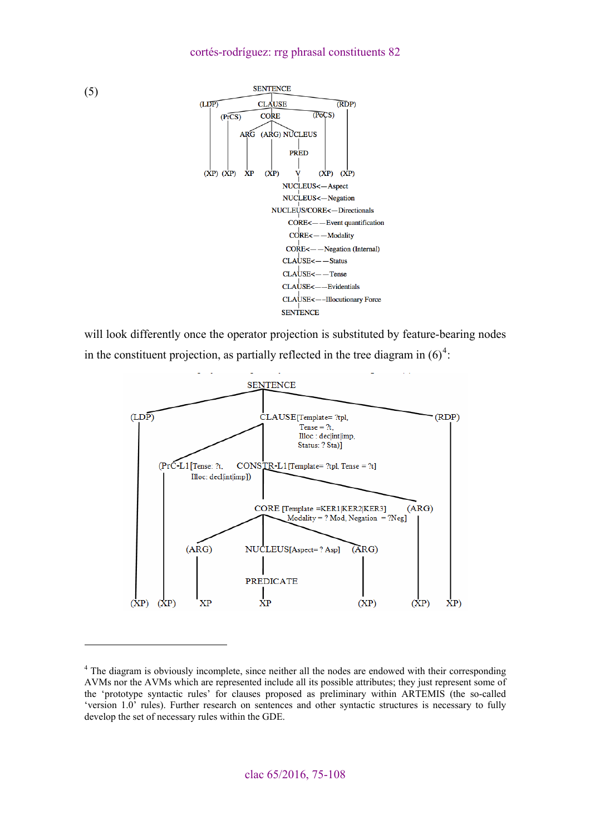

will look differently once the operator projection is substituted by feature-bearing nodes in the constituent projection, as partially reflected in the tree diagram in  $(6)^4$  $(6)^4$ .



<span id="page-7-0"></span><sup>&</sup>lt;sup>4</sup> The diagram is obviously incomplete, since neither all the nodes are endowed with their corresponding AVMs nor the AVMs which are represented include all its possible attributes; they just represent some of the 'prototype syntactic rules' for clauses proposed as preliminary within ARTEMIS (the so-called 'version 1.0' rules). Further research on sentences and other syntactic structures is necessary to fully develop the set of necessary rules within the GDE.

 $\overline{a}$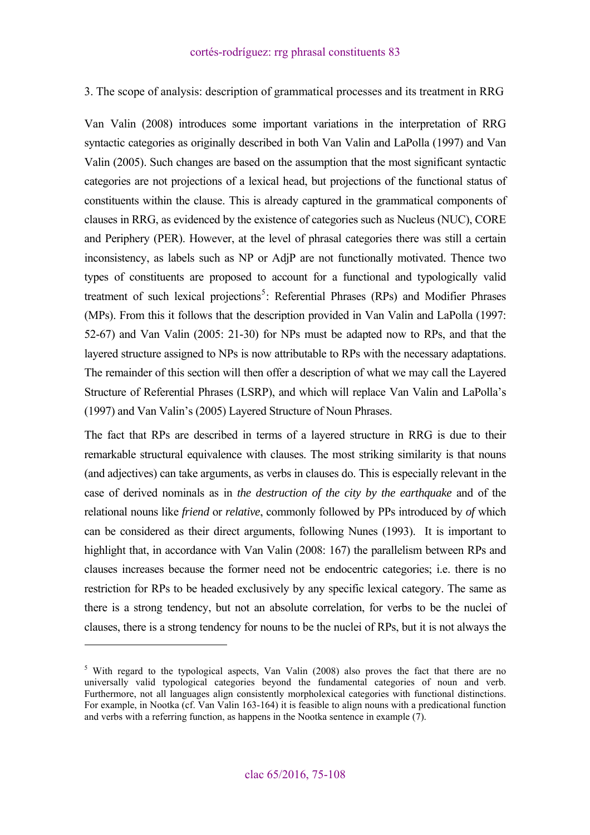<span id="page-8-0"></span>3. The scope of analysis: description of grammatical processes and its treatment in RRG

Van Valin (2008) introduces some important variations in the interpretation of RRG syntactic categories as originally described in both Van Valin and LaPolla (1997) and Van Valin (2005). Such changes are based on the assumption that the most significant syntactic categories are not projections of a lexical head, but projections of the functional status of constituents within the clause. This is already captured in the grammatical components of clauses in RRG, as evidenced by the existence of categories such as Nucleus (NUC), CORE and Periphery (PER). However, at the level of phrasal categories there was still a certain inconsistency, as labels such as NP or AdjP are not functionally motivated. Thence two types of constituents are proposed to account for a functional and typologically valid treatment of such lexical projections<sup>[5](#page-8-1)</sup>: Referential Phrases (RPs) and Modifier Phrases (MPs). From this it follows that the description provided in Van Valin and LaPolla (1997: 52-67) and Van Valin (2005: 21-30) for NPs must be adapted now to RPs, and that the layered structure assigned to NPs is now attributable to RPs with the necessary adaptations. The remainder of this section will then offer a description of what we may call the Layered Structure of Referential Phrases (LSRP), and which will replace Van Valin and LaPolla's (1997) and Van Valin's (2005) Layered Structure of Noun Phrases.

The fact that RPs are described in terms of a layered structure in RRG is due to their remarkable structural equivalence with clauses. The most striking similarity is that nouns (and adjectives) can take arguments, as verbs in clauses do. This is especially relevant in the case of derived nominals as in *the destruction of the city by the earthquake* and of the relational nouns like *friend* or *relative*, commonly followed by PPs introduced by *of* which can be considered as their direct arguments, following Nunes (1993). It is important to highlight that, in accordance with Van Valin (2008: 167) the parallelism between RPs and clauses increases because the former need not be endocentric categories; i.e. there is no restriction for RPs to be headed exclusively by any specific lexical category. The same as there is a strong tendency, but not an absolute correlation, for verbs to be the nuclei of clauses, there is a strong tendency for nouns to be the nuclei of RPs, but it is not always the

 $\overline{a}$ 

<span id="page-8-1"></span><sup>&</sup>lt;sup>5</sup> With regard to the typological aspects, Van Valin (2008) also proves the fact that there are no universally valid typological categories beyond the fundamental categories of noun and verb. Furthermore, not all languages align consistently morpholexical categories with functional distinctions. For example, in Nootka (cf. Van Valin 163-164) it is feasible to align nouns with a predicational function and verbs with a referring function, as happens in the Nootka sentence in example (7).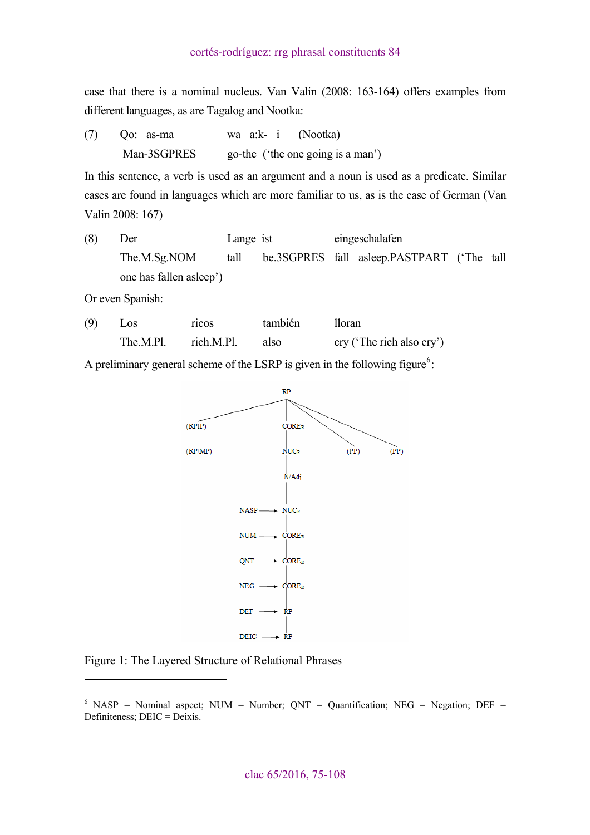case that there is a nominal nucleus. Van Valin (2008: 163-164) offers examples from different languages, as are Tagalog and Nootka:

(7) Qo:as-ma waa:k-i (Nootka) Man-3SGPRES go-the ('the one going is a man')

In this sentence, a verb is used as an argument and a noun is used as a predicate. Similar cases are found in languages which are more familiar to us, as is the case of German (Van Valin 2008: 167)

(8) Der Lange ist eingeschalafen The.M.Sg.NOM tall be.3SGPRES fall asleep.PASTPART ('The tall one has fallen asleep')

Or even Spanish:

 $\overline{a}$ 

(9) Los ricos también lloran The.M.Pl. rich.M.Pl. also cry ('The rich also cry')

A preliminary general scheme of the LSRP is given in the following figure<sup>[6](#page-9-0)</sup>:



Figure 1: The Layered Structure of Relational Phrases

<span id="page-9-0"></span> $6$  NASP = Nominal aspect; NUM = Number; QNT = Quantification; NEG = Negation; DEF = Definiteness; DEIC = Deixis.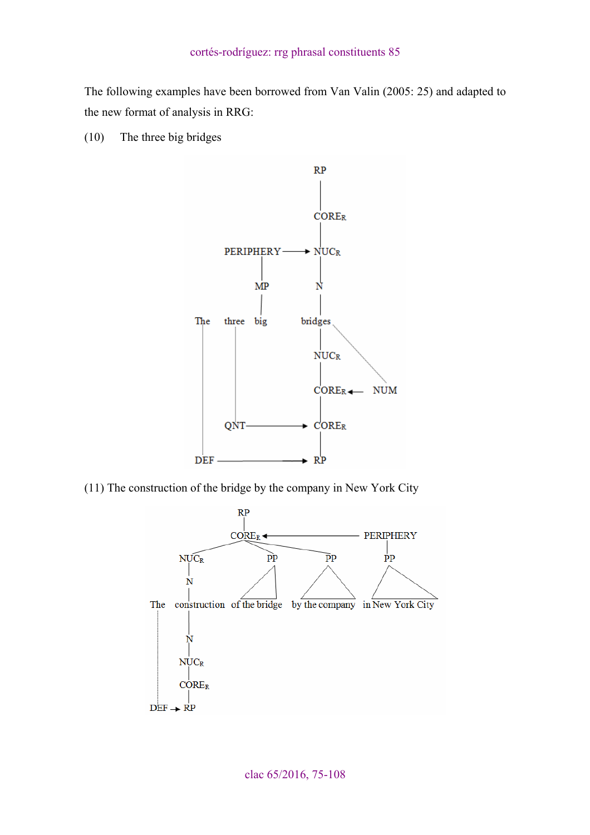The following examples have been borrowed from Van Valin (2005: 25) and adapted to the new format of analysis in RRG:

(10) The three big bridges



(11) The construction of the bridge by the company in New York City

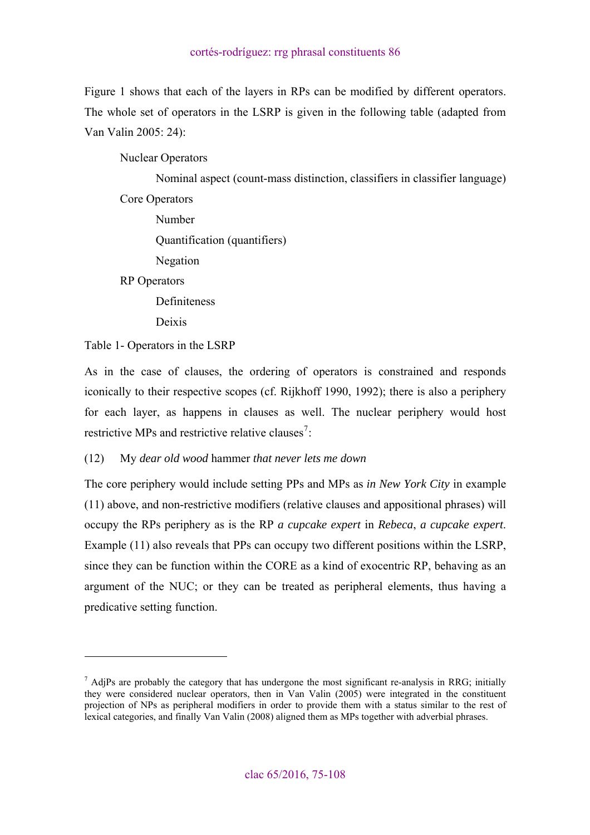Figure 1 shows that each of the layers in RPs can be modified by different operators. The whole set of operators in the LSRP is given in the following table (adapted from Van Valin 2005: 24):

Nuclear Operators

 Nominal aspect (count-mass distinction, classifiers in classifier language) Core Operators Number

Quantification (quantifiers)

Negation

RP Operators

Definiteness

Deixis

Table 1- Operators in the LSRP

 $\overline{a}$ 

As in the case of clauses, the ordering of operators is constrained and responds iconically to their respective scopes (cf. Rijkhoff 1990, 1992); there is also a periphery for each layer, as happens in clauses as well. The nuclear periphery would host restrictive MPs and restrictive relative clauses<sup>[7](#page-11-0)</sup>:

(12) My *dear old wood* hammer *that never lets me down*

The core periphery would include setting PPs and MPs as *in New York City* in example (11) above, and non-restrictive modifiers (relative clauses and appositional phrases) will occupy the RPs periphery as is the RP *a cupcake expert* in *Rebeca*, *a cupcake expert*. Example (11) also reveals that PPs can occupy two different positions within the LSRP, since they can be function within the CORE as a kind of exocentric RP, behaving as an argument of the NUC; or they can be treated as peripheral elements, thus having a predicative setting function.

<span id="page-11-0"></span> $<sup>7</sup>$  AdjPs are probably the category that has undergone the most significant re-analysis in RRG; initially</sup> they were considered nuclear operators, then in Van Valin (2005) were integrated in the constituent projection of NPs as peripheral modifiers in order to provide them with a status similar to the rest of lexical categories, and finally Van Valin (2008) aligned them as MPs together with adverbial phrases.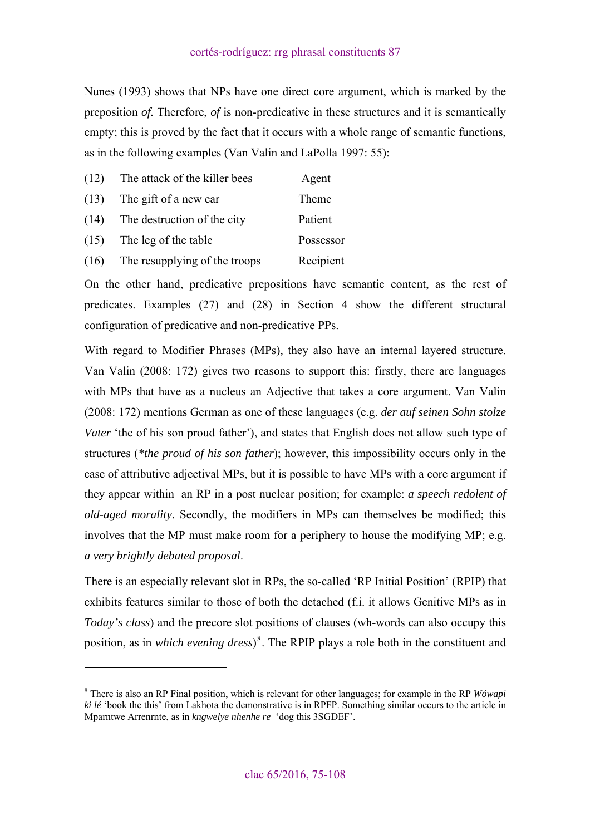Nunes (1993) shows that NPs have one direct core argument, which is marked by the preposition *of.* Therefore, *of* is non-predicative in these structures and it is semantically empty; this is proved by the fact that it occurs with a whole range of semantic functions, as in the following examples (Van Valin and LaPolla 1997: 55):

| (12) | The attack of the killer bees | Agent     |
|------|-------------------------------|-----------|
| (13) | The gift of a new car         | Theme     |
| (14) | The destruction of the city   | Patient   |
| (15) | The leg of the table          | Possessor |
| (16) | The resupplying of the troops | Recipient |

On the other hand, predicative prepositions have semantic content, as the rest of predicates. Examples (27) and (28) in Section 4 show the different structural configuration of predicative and non-predicative PPs.

With regard to Modifier Phrases (MPs), they also have an internal layered structure. Van Valin (2008: 172) gives two reasons to support this: firstly, there are languages with MPs that have as a nucleus an Adjective that takes a core argument. Van Valin (2008: 172) mentions German as one of these languages (e.g. *der auf seinen Sohn stolze Vater* 'the of his son proud father'), and states that English does not allow such type of structures (*\*the proud of his son father*); however, this impossibility occurs only in the case of attributive adjectival MPs, but it is possible to have MPs with a core argument if they appear within an RP in a post nuclear position; for example: *a speech redolent of old-aged morality*. Secondly, the modifiers in MPs can themselves be modified; this involves that the MP must make room for a periphery to house the modifying MP; e.g. *a very brightly debated proposal*.

There is an especially relevant slot in RPs, the so-called 'RP Initial Position' (RPIP) that exhibits features similar to those of both the detached (f.i. it allows Genitive MPs as in *Today's class*) and the precore slot positions of clauses (wh-words can also occupy this position, as in *which evening dress*) [8](#page-12-0) . The RPIP plays a role both in the constituent and

 $\overline{a}$ 

<span id="page-12-0"></span><sup>8</sup> There is also an RP Final position, which is relevant for other languages; for example in the RP *Wówapi ki lé* 'book the this' from Lakhota the demonstrative is in RPFP. Something similar occurs to the article in Mparntwe Arrenrnte, as in *kngwelye nhenhe re* 'dog this 3SGDEF'.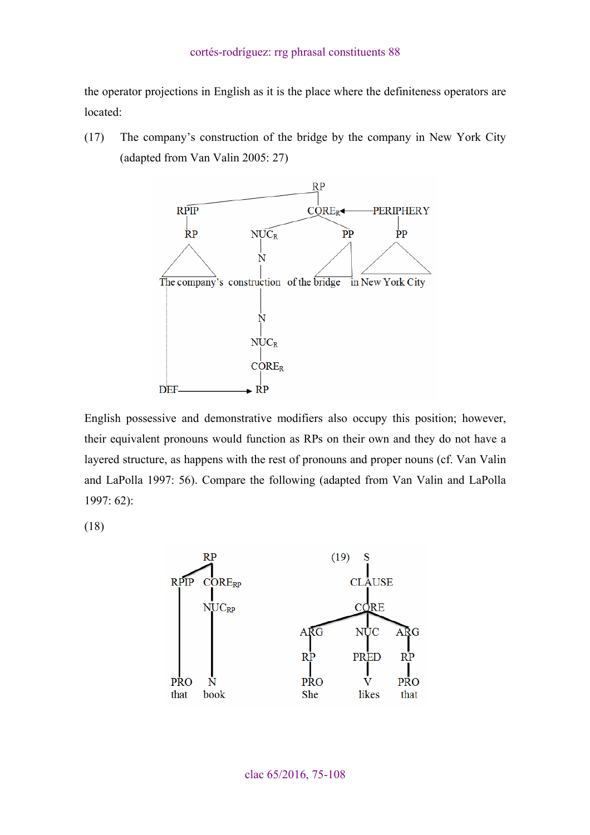the operator projections in English as it is the place where the definiteness operators are located:

(17) The company's construction of the bridge by the company in New York City (adapted from Van Valin 2005: 27)



English possessive and demonstrative modifiers also occupy this position; however, their equivalent pronouns would function as RPs on their own and they do not have a layered structure, as happens with the rest of pronouns and proper nouns (cf. Van Valin and LaPolla 1997: 56). Compare the following (adapted from Van Valin and LaPolla 1997: 62):

(18)

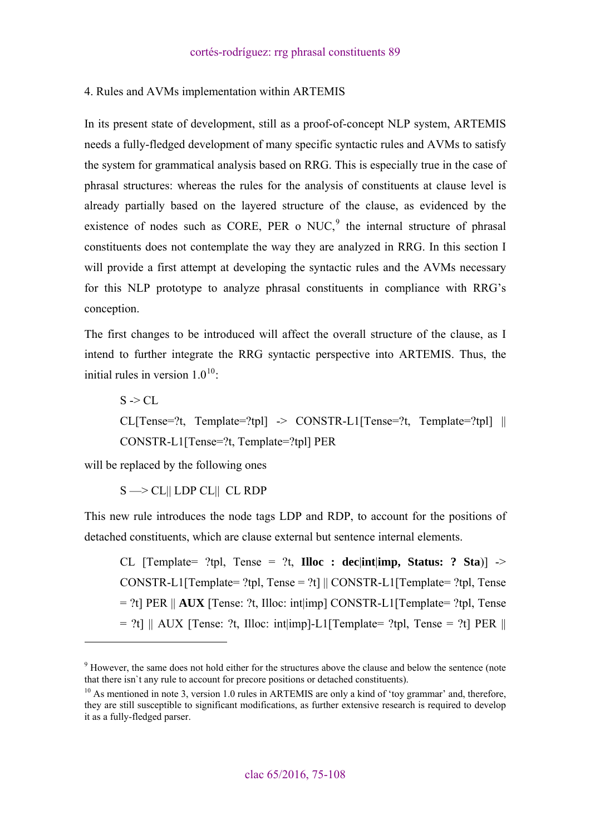# <span id="page-14-0"></span>4. Rules and AVMs implementation within ARTEMIS

In its present state of development, still as a proof-of-concept NLP system, ARTEMIS needs a fully-fledged development of many specific syntactic rules and AVMs to satisfy the system for grammatical analysis based on RRG. This is especially true in the case of phrasal structures: whereas the rules for the analysis of constituents at clause level is already partially based on the layered structure of the clause, as evidenced by the existence of nodes such as CORE, PER o NUC, $9$  the internal structure of phrasal constituents does not contemplate the way they are analyzed in RRG. In this section I will provide a first attempt at developing the syntactic rules and the AVMs necessary for this NLP prototype to analyze phrasal constituents in compliance with RRG's conception.

The first changes to be introduced will affect the overall structure of the clause, as I intend to further integrate the RRG syntactic perspective into ARTEMIS. Thus, the initial rules in version  $1.0^{10}$  $1.0^{10}$  $1.0^{10}$ :

 $S \geq CL$  $CL[Tense=?t, Template=?tpl] \rightarrow CONSTR-L1[Tense=?t, Template=?tpl] ||$ CONSTR-L1[Tense=?t, Template=?tpl] PER

will be replaced by the following ones

 $\overline{a}$ 

 $S \longrightarrow CL$ || LDP CL|| CL RDP

This new rule introduces the node tags LDP and RDP, to account for the positions of detached constituents, which are clause external but sentence internal elements.

CL  $[Template = ?tol$ , Tense =  $?t$ , **Illoc : declintation, Status: ? Sta**) -> CONSTR-L1<sup>[Template= ?tpl, Tense = ?t] ||</sup> CONSTR-L1<sup>[Template= ?tpl, Tense]</sup>  $=$  ?t] PER  $\parallel$  **AUX** [Tense: ?t. Illoc: intlimp] CONSTR-L1[Template= ?tpl. Tense  $= ?t$ ] || AUX [Tense: ?t, Illoc: int|imp]-L1[Template= ?tpl, Tense = ?t] PER ||

<span id="page-14-1"></span><sup>&</sup>lt;sup>9</sup> However, the same does not hold either for the structures above the clause and below the sentence (note that there isn`t any rule to account for precore positions or detached constituents).

<span id="page-14-2"></span> $10$  As mentioned in note 3, version 1.0 rules in ARTEMIS are only a kind of 'toy grammar' and, therefore, they are still susceptible to significant modifications, as further extensive research is required to develop it as a fully-fledged parser.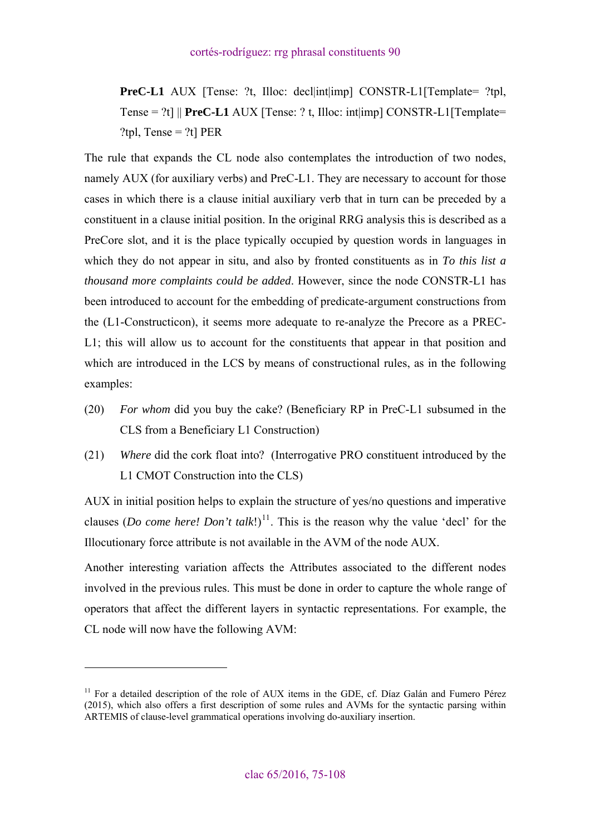**PreC-L1** AUX [Tense: ?t, Illoc: decl|int|imp] CONSTR-L1[Template= ?tpl, Tense = ?t] || **PreC-L1** AUX [Tense: ? t, Illoc: int|imp] CONSTR-L1[Template= ?tpl, Tense = ?t]  $PER$ 

The rule that expands the CL node also contemplates the introduction of two nodes, namely AUX (for auxiliary verbs) and PreC-L1. They are necessary to account for those cases in which there is a clause initial auxiliary verb that in turn can be preceded by a constituent in a clause initial position. In the original RRG analysis this is described as a PreCore slot, and it is the place typically occupied by question words in languages in which they do not appear in situ, and also by fronted constituents as in *To this list a thousand more complaints could be added*. However, since the node CONSTR-L1 has been introduced to account for the embedding of predicate-argument constructions from the (L1-Constructicon), it seems more adequate to re-analyze the Precore as a PREC-L1; this will allow us to account for the constituents that appear in that position and which are introduced in the LCS by means of constructional rules, as in the following examples:

- (20) *For whom* did you buy the cake? (Beneficiary RP in PreC-L1 subsumed in the CLS from a Beneficiary L1 Construction)
- (21) *Where* did the cork float into? (Interrogative PRO constituent introduced by the L1 CMOT Construction into the CLS)

AUX in initial position helps to explain the structure of yes/no questions and imperative clauses (*Do come here! Don't talk*!)<sup>[11](#page-15-0)</sup>. This is the reason why the value 'decl' for the Illocutionary force attribute is not available in the AVM of the node AUX.

Another interesting variation affects the Attributes associated to the different nodes involved in the previous rules. This must be done in order to capture the whole range of operators that affect the different layers in syntactic representations. For example, the CL node will now have the following AVM:

 $\overline{a}$ 

<span id="page-15-0"></span><sup>&</sup>lt;sup>11</sup> For a detailed description of the role of AUX items in the GDE, cf. Díaz Galán and Fumero Pérez (2015), which also offers a first description of some rules and AVMs for the syntactic parsing within ARTEMIS of clause-level grammatical operations involving do-auxiliary insertion.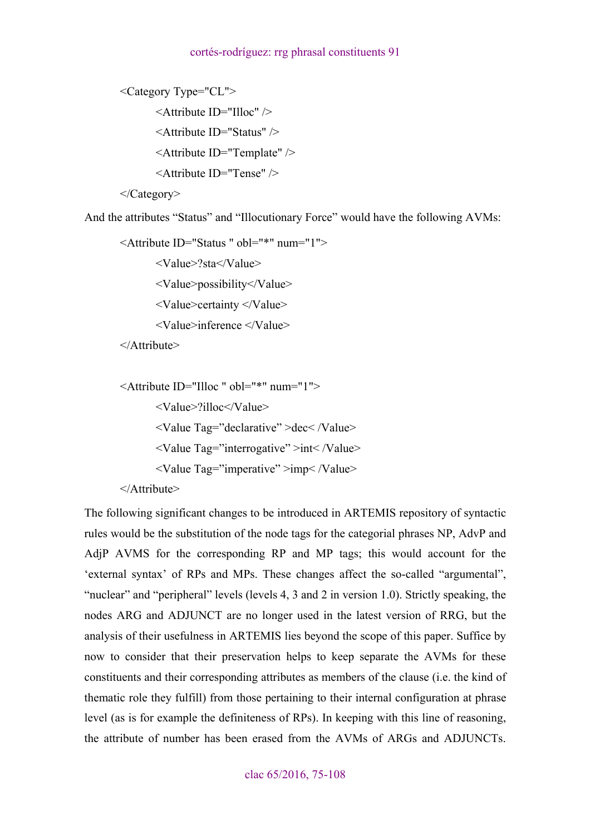```
<Category Type="CL"> 
        <Attribute ID="Illoc" /> 
       <Attribute ID="Status" /> 
       <Attribute ID="Template" /> 
        <Attribute ID="Tense" />
```
</Category>

And the attributes "Status" and "Illocutionary Force" would have the following AVMs:

<Attribute ID="Status " obl="\*" num="1">

<Value>?sta</Value>

<Value>possibility</Value>

<Value>certainty </Value>

<Value>inference </Value>

</Attribute>

```
<Attribute ID="Illoc " obl="*" num="1"> 
        <Value>?illoc</Value> 
        <Value Tag="declarative" >dec< /Value> 
        <Value Tag="interrogative" >int< /Value> 
        <Value Tag="imperative" >imp< /Value> 
</Attribute>
```
The following significant changes to be introduced in ARTEMIS repository of syntactic rules would be the substitution of the node tags for the categorial phrases NP, AdvP and AdjP AVMS for the corresponding RP and MP tags; this would account for the 'external syntax' of RPs and MPs. These changes affect the so-called "argumental", "nuclear" and "peripheral" levels (levels 4, 3 and 2 in version 1.0). Strictly speaking, the nodes ARG and ADJUNCT are no longer used in the latest version of RRG, but the analysis of their usefulness in ARTEMIS lies beyond the scope of this paper. Suffice by now to consider that their preservation helps to keep separate the AVMs for these constituents and their corresponding attributes as members of the clause (i.e. the kind of thematic role they fulfill) from those pertaining to their internal configuration at phrase level (as is for example the definiteness of RPs). In keeping with this line of reasoning, the attribute of number has been erased from the AVMs of ARGs and ADJUNCTs.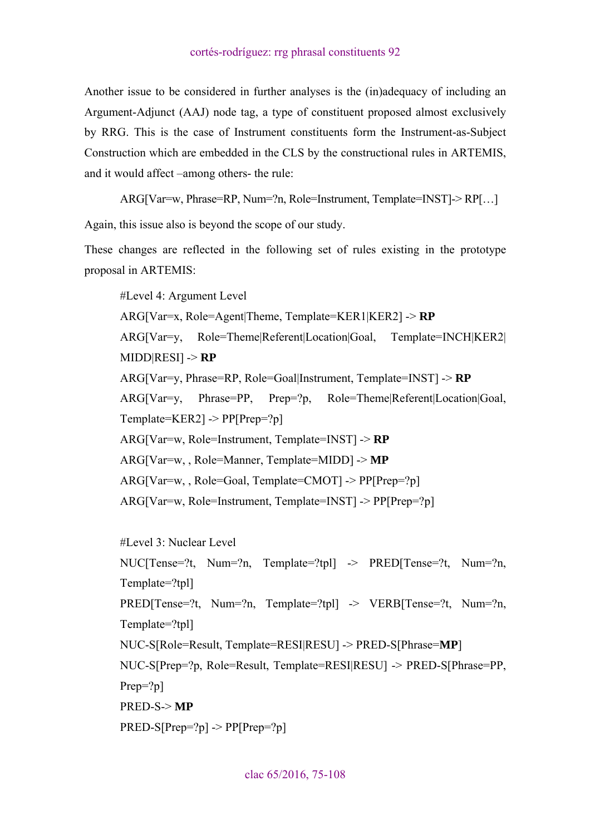Another issue to be considered in further analyses is the (in)adequacy of including an Argument-Adjunct (AAJ) node tag, a type of constituent proposed almost exclusively by RRG. This is the case of Instrument constituents form the Instrument-as-Subject Construction which are embedded in the CLS by the constructional rules in ARTEMIS, and it would affect –among others- the rule:

ARG[Var=w, Phrase=RP, Num=?n, Role=Instrument, Template=INST]-> RP[…]

Again, this issue also is beyond the scope of our study.

These changes are reflected in the following set of rules existing in the prototype proposal in ARTEMIS:

#Level 4: Argument Level ARG[Var=x, Role=Agent|Theme, Template=KER1|KER2] -> **RP** ARG[Var=y, Role=Theme|Referent|Location|Goal, Template=INCH|KER2| MIDD|RESI] -> **RP** ARG[Var=y, Phrase=RP, Role=Goal|Instrument, Template=INST] -> **RP** ARG[Var=y, Phrase=PP, Prep=?p, Role=Theme|Referent|Location|Goal,  $Template=KER2$ ] ->  $PP[Prep=?p]$ ARG[Var=w, Role=Instrument, Template=INST] -> **RP** ARG[Var=w, , Role=Manner, Template=MIDD] -> **MP** ARG[Var=w, , Role=Goal, Template=CMOT] -> PP[Prep=?p] ARG[Var=w, Role=Instrument, Template=INST] -> PP[Prep=?p]

```
#Level 3: Nuclear Level 
NUC[Tense=?t, Num=?n, Template=?tpl] -> PRED[Tense=?t, Num=?n,
Template=?tpl] 
PRED[Tense=?t, Num=?n, Template=?tpl] -> VERB[Tense=?t, Num=?n,
Template=?tpl] 
NUC-S[Role=Result, Template=RESI|RESU] -> PRED-S[Phrase=MP] 
NUC-S[Prep=?p, Role=Result, Template=RESI|RESU] -> PRED-S[Phrase=PP, 
Prep=?p]
PRED-S-> MP
PRED-S[Prep=?p] -> PP[Prep=?p]
```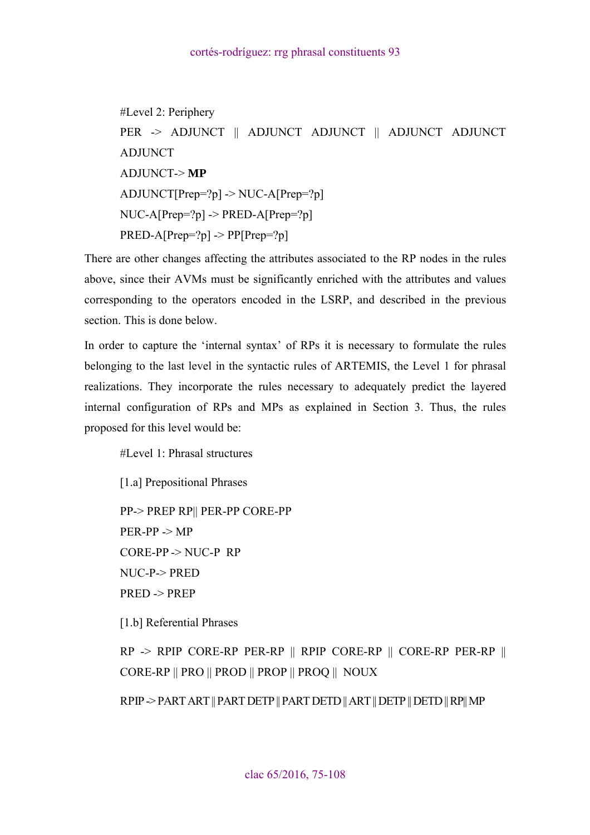#Level 2: Periphery PER -> ADJUNCT || ADJUNCT ADJUNCT || ADJUNCT ADJUNCT ADJUNCT ADJUNCT-> **MP**  $ADJUNCT[Prep=?p] \rightarrow NUC-A[Prep=?p]$  $NUC-A[Prep=?p] \rightarrow PRED-A[Prep=?p]$  $PRED-A[Prep=?p] \rightarrow PP[Prep=?p]$ 

There are other changes affecting the attributes associated to the RP nodes in the rules above, since their AVMs must be significantly enriched with the attributes and values corresponding to the operators encoded in the LSRP, and described in the previous section. This is done below.

In order to capture the 'internal syntax' of RPs it is necessary to formulate the rules belonging to the last level in the syntactic rules of ARTEMIS, the Level 1 for phrasal realizations. They incorporate the rules necessary to adequately predict the layered internal configuration of RPs and MPs as explained in Section 3. Thus, the rules proposed for this level would be:

#Level 1: Phrasal structures

[1.a] Prepositional Phrases

PP-> PREP RP|| PER-PP CORE-PP PER-PP -> MP CORE-PP -> NUC-P RP NUC-P-> PRED PRED -> PREP

[1.b] Referential Phrases

 $RP \rightarrow RPP$  CORE-RP PER-RP || RPIP CORE-RP || CORE-RP PER-RP || CORE-RP || PRO || PROD || PROP || PROQ || NOUX

RPIP -> PART ART || PART DETP || PART DETD || ART || DETP || DETD || RP|| MP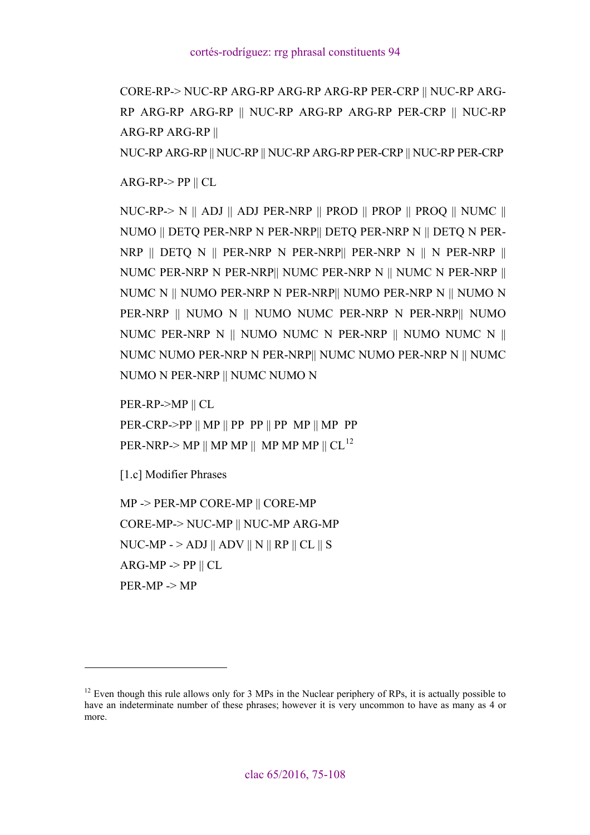CORE-RP-> NUC-RP ARG-RP ARG-RP ARG-RP PER-CRP || NUC-RP ARG-RP ARG-RP ARG-RP || NUC-RP ARG-RP ARG-RP PER-CRP || NUC-RP ARG-RP ARG-RP ||

NUC-RP ARG-RP || NUC-RP || NUC-RP ARG-RP PER-CRP || NUC-RP PER-CRP

 $ARG-RP > PP \parallel CL$ 

NUC-RP-> N || ADJ || ADJ PER-NRP || PROD || PROP || PROQ || NUMC || NUMO || DETQ PER-NRP N PER-NRP|| DETQ PER-NRP N || DETQ N PER-NRP || DETQ N || PER-NRP N PER-NRP|| PER-NRP N || N PER-NRP || NUMC PER-NRP N PER-NRP|| NUMC PER-NRP N || NUMC N PER-NRP || NUMC N || NUMO PER-NRP N PER-NRP|| NUMO PER-NRP N || NUMO N PER-NRP || NUMO N || NUMO NUMC PER-NRP N PER-NRP|| NUMO NUMC PER-NRP N || NUMO NUMC N PER-NRP || NUMO NUMC N || NUMC NUMO PER-NRP N PER-NRP|| NUMC NUMO PER-NRP N || NUMC NUMO N PER-NRP || NUMC NUMO N

PER-RP->MP || CL

PER-CRP->PP || MP || PP PP || PP MP || MP PP PER-NRP-> MP  $||$  MP MP  $||$  MP MP MP  $||$  CL<sup>[12](#page-19-0)</sup>

```
[1.c] Modifier Phrases
```
 $\overline{a}$ 

MP -> PER-MP CORE-MP || CORE-MP CORE-MP-> NUC-MP || NUC-MP ARG-MP NUC-MP -  $>$  ADJ  $\parallel$  ADV  $\parallel$  N  $\parallel$  RP  $\parallel$  CL  $\parallel$  S  $ARG-MP \ge PP \parallel CL$ PER-MP -> MP

<span id="page-19-0"></span> $12$  Even though this rule allows only for 3 MPs in the Nuclear periphery of RPs, it is actually possible to have an indeterminate number of these phrases; however it is very uncommon to have as many as 4 or more.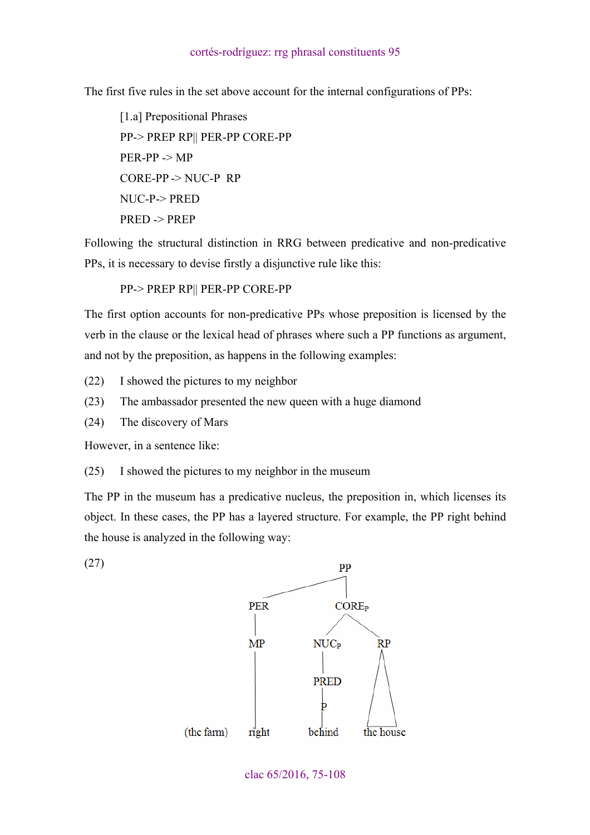The first five rules in the set above account for the internal configurations of PPs:

[1.a] Prepositional Phrases PP-> PREP RP|| PER-PP CORE-PP PER-PP -> MP CORE-PP -> NUC-P RP NUC-P-> PRED PRED -> PREP

Following the structural distinction in RRG between predicative and non-predicative PPs, it is necessary to devise firstly a disjunctive rule like this:

PP-> PREP RP|| PER-PP CORE-PP

The first option accounts for non-predicative PPs whose preposition is licensed by the verb in the clause or the lexical head of phrases where such a PP functions as argument, and not by the preposition, as happens in the following examples:

(22) I showed the pictures to my neighbor

(23) The ambassador presented the new queen with a huge diamond

(24) The discovery of Mars

However, in a sentence like:

(27)

(25) I showed the pictures to my neighbor in the museum

The PP in the museum has a predicative nucleus, the preposition in, which licenses its object. In these cases, the PP has a layered structure. For example, the PP right behind the house is analyzed in the following way:



clac 65/2016, 75-108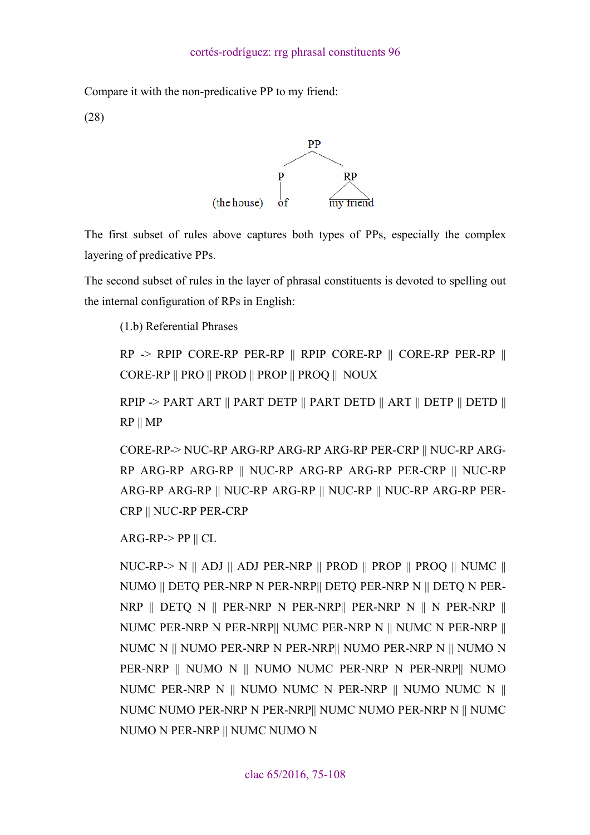Compare it with the non-predicative PP to my friend:

(28)



The first subset of rules above captures both types of PPs, especially the complex layering of predicative PPs.

The second subset of rules in the layer of phrasal constituents is devoted to spelling out the internal configuration of RPs in English:

(1.b) Referential Phrases

 $RP \Rightarrow RPP \text{ CORE-RP}$  PER-RP || RPIP CORE-RP || CORE-RP PER-RP || CORE-RP || PRO || PROD || PROP || PROQ || NOUX

RPIP -> PART ART || PART DETP || PART DETD || ART || DETP || DETD || RP || MP

CORE-RP-> NUC-RP ARG-RP ARG-RP ARG-RP PER-CRP || NUC-RP ARG-RP ARG-RP ARG-RP || NUC-RP ARG-RP ARG-RP PER-CRP || NUC-RP ARG-RP ARG-RP || NUC-RP ARG-RP || NUC-RP || NUC-RP ARG-RP PER-CRP || NUC-RP PER-CRP

 $ARG-RP > PP \parallel CL$ 

NUC-RP-> N || ADJ || ADJ PER-NRP || PROD || PROP || PROQ || NUMC || NUMO || DETQ PER-NRP N PER-NRP|| DETQ PER-NRP N || DETQ N PER-NRP || DETQ N || PER-NRP N PER-NRP|| PER-NRP N || N PER-NRP || NUMC PER-NRP N PER-NRP|| NUMC PER-NRP N || NUMC N PER-NRP || NUMC N || NUMO PER-NRP N PER-NRP|| NUMO PER-NRP N || NUMO N PER-NRP || NUMO N || NUMO NUMC PER-NRP N PER-NRP|| NUMO NUMC PER-NRP N || NUMO NUMC N PER-NRP || NUMO NUMC N || NUMC NUMO PER-NRP N PER-NRP|| NUMC NUMO PER-NRP N || NUMC NUMO N PER-NRP || NUMC NUMO N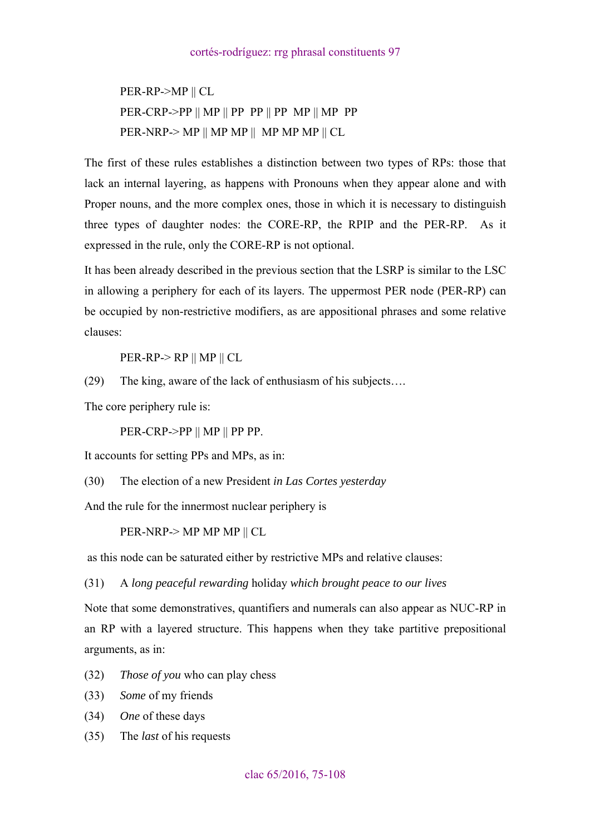PER-RP->MP || CL  $PER-CRP-PP \parallel MP \parallel PP \perp PP \parallel PP \text{MP} \parallel MP \parallel$ PER-NRP-> MP || MP MP || MP MP MP || CL

The first of these rules establishes a distinction between two types of RPs: those that lack an internal layering, as happens with Pronouns when they appear alone and with Proper nouns, and the more complex ones, those in which it is necessary to distinguish three types of daughter nodes: the CORE-RP, the RPIP and the PER-RP. As it expressed in the rule, only the CORE-RP is not optional.

It has been already described in the previous section that the LSRP is similar to the LSC in allowing a periphery for each of its layers. The uppermost PER node (PER-RP) can be occupied by non-restrictive modifiers, as are appositional phrases and some relative clauses:

PER-RP-> RP || MP || CL

(29) The king, aware of the lack of enthusiasm of his subjects….

The core periphery rule is:

PER-CRP->PP || MP || PP PP.

It accounts for setting PPs and MPs, as in:

(30) The election of a new President *in Las Cortes yesterday*

And the rule for the innermost nuclear periphery is

PER-NRP-> MP MP MP || CL

as this node can be saturated either by restrictive MPs and relative clauses:

(31) A *long peaceful rewarding* holiday *which brought peace to our lives*

Note that some demonstratives, quantifiers and numerals can also appear as NUC-RP in an RP with a layered structure. This happens when they take partitive prepositional arguments, as in:

- (32) *Those of you* who can play chess
- (33) *Some* of my friends
- (34) *One* of these days
- (35) The *last* of his requests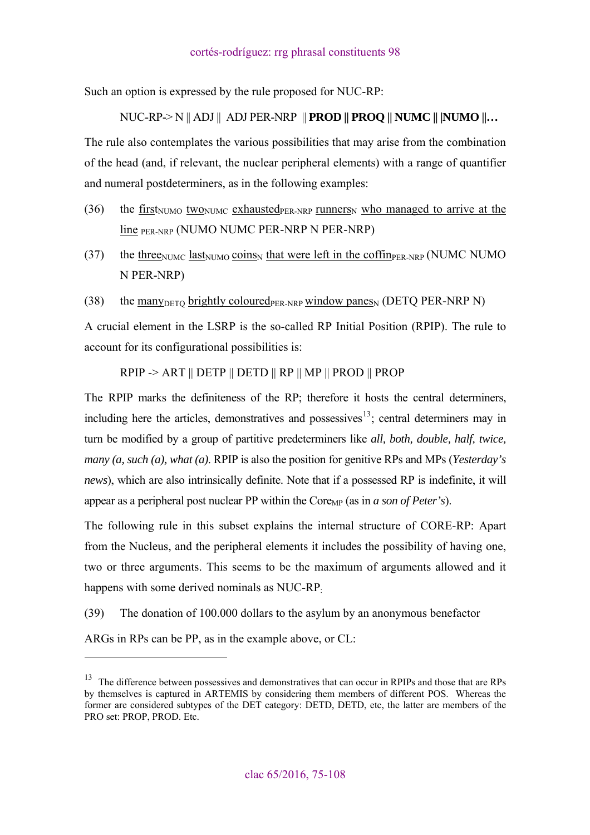Such an option is expressed by the rule proposed for NUC-RP:

NUC-RP-> N || ADJ || ADJ PER-NRP || **PROD || PROQ || NUMC || |NUMO ||…** 

The rule also contemplates the various possibilities that may arise from the combination of the head (and, if relevant, the nuclear peripheral elements) with a range of quantifier and numeral postdeterminers, as in the following examples:

- (36) the first<sub>NUMO</sub> two<sub>NUMC</sub> exhausted<sub>PER-NRP</sub> runners<sub>N</sub> who managed to arrive at the line PER-NRP (NUMO NUMC PER-NRP N PER-NRP)
- (37) the three<sub>NUMC</sub> last<sub>NUMO</sub> coins<sub>N</sub> that were left in the coffin<sub>PER-NRP</sub> (NUMC NUMO N PER-NRP)
- (38) the many  $\text{Der}$  brightly coloured  $\text{Per-NRP}$  window panes (DETQ PER-NRP N)

A crucial element in the LSRP is the so-called RP Initial Position (RPIP). The rule to account for its configurational possibilities is:

RPIP -> ART || DETP || DETD || RP || MP || PROD || PROP

The RPIP marks the definiteness of the RP; therefore it hosts the central determiners, including here the articles, demonstratives and possessives<sup>[13](#page-23-0)</sup>; central determiners may in turn be modified by a group of partitive predeterminers like *all, both, double, half, twice, many (a, such (a), what (a)*. RPIP is also the position for genitive RPs and MPs (*Yesterday's news*), which are also intrinsically definite. Note that if a possessed RP is indefinite, it will appear as a peripheral post nuclear PP within the  $\text{Core}_{MP}$  (as in *a son of Peter's*).

The following rule in this subset explains the internal structure of CORE-RP: Apart from the Nucleus, and the peripheral elements it includes the possibility of having one, two or three arguments. This seems to be the maximum of arguments allowed and it happens with some derived nominals as NUC-RP.

(39) The donation of 100.000 dollars to the asylum by an anonymous benefactor

ARGs in RPs can be PP, as in the example above, or CL:

 $\overline{a}$ 

<span id="page-23-0"></span><sup>&</sup>lt;sup>13</sup> The difference between possessives and demonstratives that can occur in RPIPs and those that are RPs by themselves is captured in ARTEMIS by considering them members of different POS. Whereas the former are considered subtypes of the DET category: DETD, DETD, etc, the latter are members of the PRO set: PROP, PROD. Etc.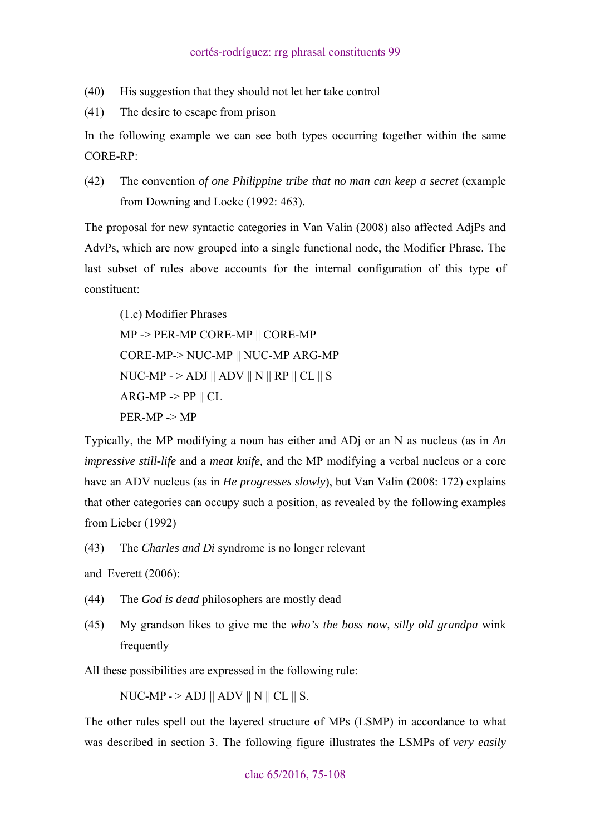(40) His suggestion that they should not let her take control

(41) The desire to escape from prison

In the following example we can see both types occurring together within the same CORE-RP:

(42) The convention *of one Philippine tribe that no man can keep a secret* (example from Downing and Locke (1992: 463).

The proposal for new syntactic categories in Van Valin (2008) also affected AdjPs and AdvPs, which are now grouped into a single functional node, the Modifier Phrase. The last subset of rules above accounts for the internal configuration of this type of constituent:

(1.c) Modifier Phrases MP -> PER-MP CORE-MP || CORE-MP CORE-MP-> NUC-MP || NUC-MP ARG-MP NUC-MP -  $>$  ADJ  $\parallel$  ADV  $\parallel$  N  $\parallel$  RP  $\parallel$  CL  $\parallel$  S  $ARG-MP \ge PP \parallel CL$ PER-MP -> MP

Typically, the MP modifying a noun has either and ADj or an N as nucleus (as in *An impressive still-life* and a *meat knife,* and the MP modifying a verbal nucleus or a core have an ADV nucleus (as in *He progresses slowly*), but Van Valin (2008: 172) explains that other categories can occupy such a position, as revealed by the following examples from Lieber (1992)

(43) The *Charles and Di* syndrome is no longer relevant

and Everett (2006):

- (44) The *God is dead* philosophers are mostly dead
- (45) My grandson likes to give me the *who's the boss now, silly old grandpa* wink frequently

All these possibilities are expressed in the following rule:

NUC-MP -  $>$  ADJ  $\parallel$  ADV  $\parallel$  N  $\parallel$  CL  $\parallel$  S.

The other rules spell out the layered structure of MPs (LSMP) in accordance to what was described in section 3. The following figure illustrates the LSMPs of *very easily*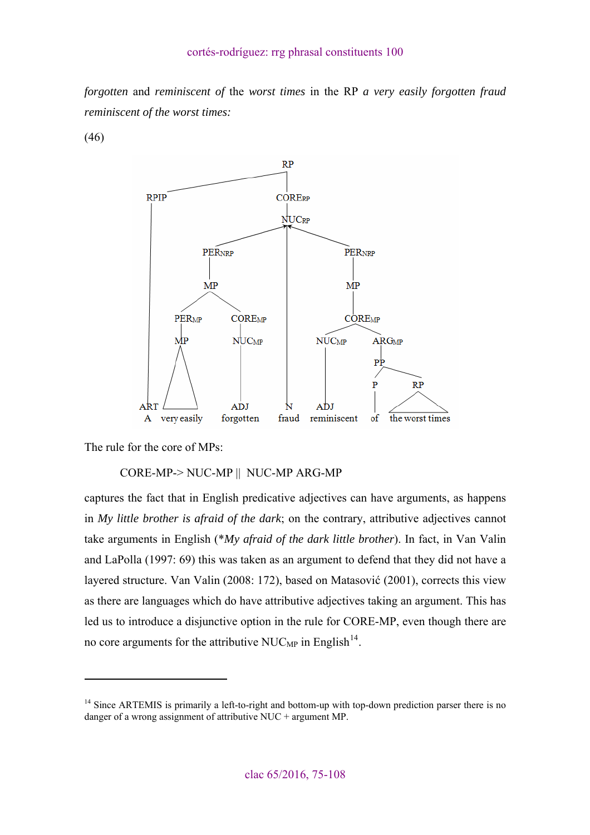*forgotten* and *reminiscent of* the *worst times* in the RP *a very easily forgotten fraud reminiscent of the worst times:* 

(46)



The rule for the core of MPs:

 $\overline{a}$ 

# CORE-MP-> NUC-MP || NUC-MP ARG-MP

captures the fact that in English predicative adjectives can have arguments, as happens in *My little brother is afraid of the dark*; on the contrary, attributive adjectives cannot take arguments in English (\**My afraid of the dark little brother*). In fact, in Van Valin and LaPolla (1997: 69) this was taken as an argument to defend that they did not have a layered structure. Van Valin (2008: 172), based on Matasović (2001), corrects this view as there are languages which do have attributive adjectives taking an argument. This has led us to introduce a disjunctive option in the rule for CORE-MP, even though there are no core arguments for the attributive NUC<sub>MP</sub> in English<sup>[14](#page-25-0)</sup>.

<span id="page-25-0"></span> $14$  Since ARTEMIS is primarily a left-to-right and bottom-up with top-down prediction parser there is no danger of a wrong assignment of attributive NUC + argument MP.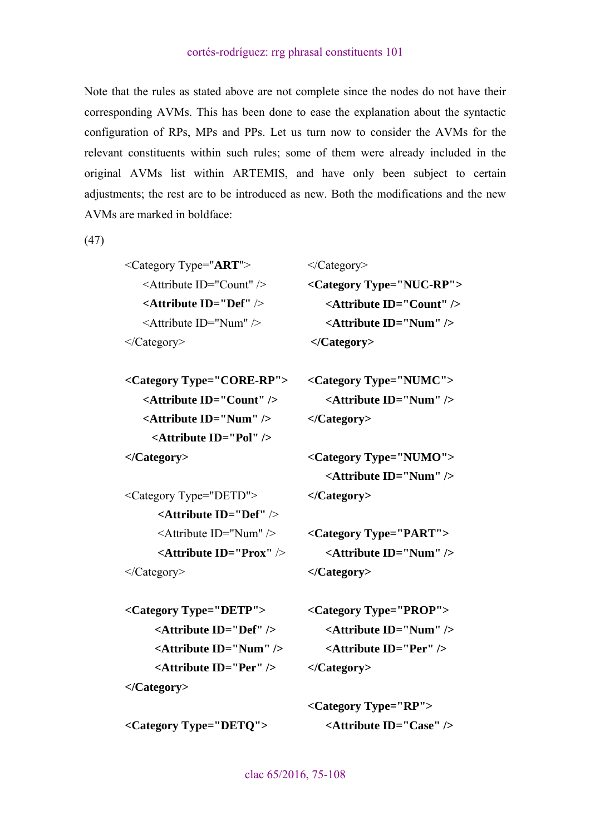Note that the rules as stated above are not complete since the nodes do not have their corresponding AVMs. This has been done to ease the explanation about the syntactic configuration of RPs, MPs and PPs. Let us turn now to consider the AVMs for the relevant constituents within such rules; some of them were already included in the original AVMs list within ARTEMIS, and have only been subject to certain adjustments; the rest are to be introduced as new. Both the modifications and the new AVMs are marked in boldface:

</Category>

 **</Category>** 

**</Category>** 

(47)

<Category Type="**ART**"> <Attribute ID="Count" /> **<Attribute ID="Def"** /> <Attribute ID="Num" /> </Category>

**<Category Type="CORE-RP"> <Attribute ID="Count" /> <Attribute ID="Num" /> <Attribute ID="Pol" /> </Category>** 

<Category Type="DETD"> **<Attribute ID="Def"** />  $\leq$ Attribute ID="Num"  $\geq$  **<Attribute ID="Prox"** /> </Category>

**<Category Type="NUMO"> <Attribute ID="Num" /> </Category>** 

**<Category Type="NUMC">** 

 **<Attribute ID="Num" />** 

**<Category Type="NUC-RP">** 

 **<Attribute ID="Count" /> <Attribute ID="Num" />** 

**<Category Type="PART"> <Attribute ID="Num" /> </Category>** 

**<Category Type="DETP"> <Attribute ID="Def" /> <Attribute ID="Num" /> <Attribute ID="Per" /> </Category>** 

**<Category Type="DETQ">** 

**<Category Type="PROP"> <Attribute ID="Num" /> <Attribute ID="Per" /> </Category>** 

**<Category Type="RP"> <Attribute ID="Case" />**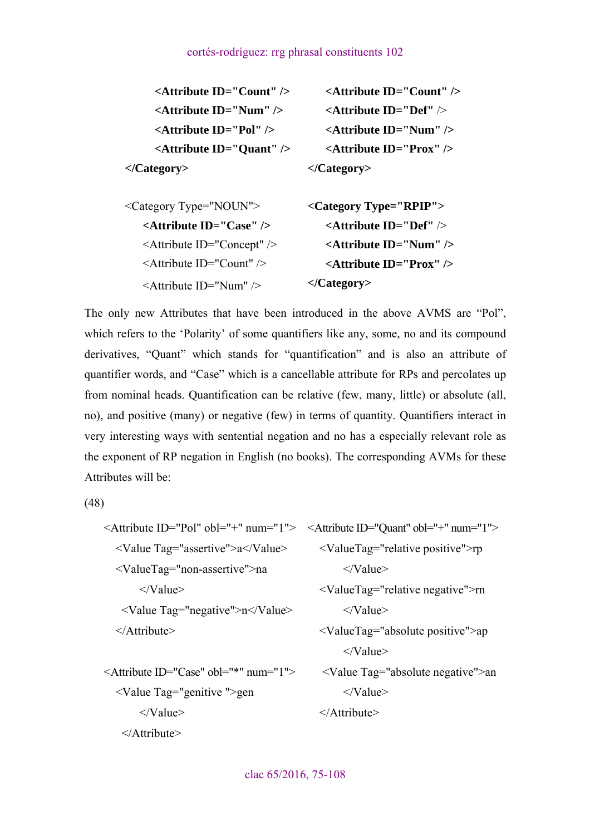| <attribute id="Count"></attribute> | <attribute id="Count"></attribute> |
|------------------------------------|------------------------------------|
| $\leq$ Attribute ID="Num" $\geq$   | <attribute id="Def"></attribute>   |
| <attribute id="Pol"></attribute>   | $\leq$ Attribute ID="Num" $\geq$   |
| <attribute id="Quant"></attribute> | <attribute id="Prox"></attribute>  |
|                                    | $\langle$ Category>                |
| <category type="NOUN"></category>  | $\langle$ Category Type="RPIP">    |
| <attribute id="Case"></attribute>  | <attribute id="Def"></attribute>   |

| $\leq$ Attribute ID="Case" $\geq$    | $\leq$ Attribute ID="Def" $\geq$  |
|--------------------------------------|-----------------------------------|
| $\leq$ Attribute ID="Concept" $\geq$ | $\leq$ Attribute ID="Num" $\geq$  |
| $\leq$ Attribute ID="Count" $\geq$   | $\leq$ Attribute ID="Prox" $\geq$ |
| $\leq$ Attribute ID="Num" $\geq$     | $\langle$ Category>               |

The only new Attributes that have been introduced in the above AVMS are "Pol", which refers to the 'Polarity' of some quantifiers like any, some, no and its compound derivatives, "Quant" which stands for "quantification" and is also an attribute of quantifier words, and "Case" which is a cancellable attribute for RPs and percolates up from nominal heads. Quantification can be relative (few, many, little) or absolute (all, no), and positive (many) or negative (few) in terms of quantity. Quantifiers interact in very interesting ways with sentential negation and no has a especially relevant role as the exponent of RP negation in English (no books). The corresponding AVMs for these Attributes will be:

(48)

</Attribute>

| <attribute id="Quant" num="1" obl="+"></attribute>       |
|----------------------------------------------------------|
| $\le$ ValueTag="relative positive">rp                    |
| $\langle$ /Value>                                        |
| $\le$ ValueTag="relative negative">rn                    |
| $\langle$ /Value>                                        |
| <valuetag="absolute positive"="">ap</valuetag="absolute> |
| $\langle$ /Value>                                        |
| <value tag="absolute negative">an</value>                |
| $\langle$ /Value>                                        |
| $\triangle$ Attribute>                                   |
|                                                          |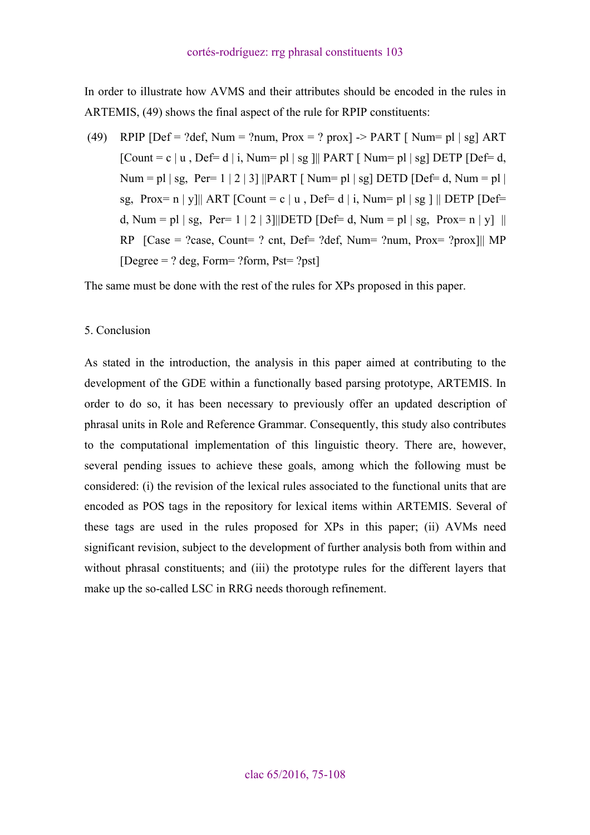<span id="page-28-0"></span>In order to illustrate how AVMS and their attributes should be encoded in the rules in ARTEMIS, (49) shows the final aspect of the rule for RPIP constituents:

(49) RPIP  $[Def = ?def]$ , Num = ?num,  $Prox = ?$  prox  $]$  -> PART  $[$  Num= pl  $|$  sg  $]$  ART  $[Count = c | u, Def = d | i, Num = pl | sg || PART | Num = pl | sg] DETP [Def = d,$ Num = pl | sg, Per= 1 | 2 | 3] ||PART [ Num = pl | sg] DETD [Def= d, Num = pl | sg, Prox= n | y||| ART [Count = c | u , Def= d | i, Num= pl | sg | || DETP [Def= d, Num = pl | sg, Per= 1 | 2 | 3|||DETD [Def= d, Num = pl | sg, Prox= n | y] || RP  $[Case = ?case, Count = ? ent, Def = ?def, Num = ?num, Prox = ?prox]]$  MP  $[Degree = ? deg, Form = ?form, Pst = ?pst]$ 

The same must be done with the rest of the rules for XPs proposed in this paper.

#### 5. Conclusion

As stated in the introduction, the analysis in this paper aimed at contributing to the development of the GDE within a functionally based parsing prototype, ARTEMIS. In order to do so, it has been necessary to previously offer an updated description of phrasal units in Role and Reference Grammar. Consequently, this study also contributes to the computational implementation of this linguistic theory. There are, however, several pending issues to achieve these goals, among which the following must be considered: (i) the revision of the lexical rules associated to the functional units that are encoded as POS tags in the repository for lexical items within ARTEMIS. Several of these tags are used in the rules proposed for XPs in this paper; (ii) AVMs need significant revision, subject to the development of further analysis both from within and without phrasal constituents; and (iii) the prototype rules for the different layers that make up the so-called LSC in RRG needs thorough refinement.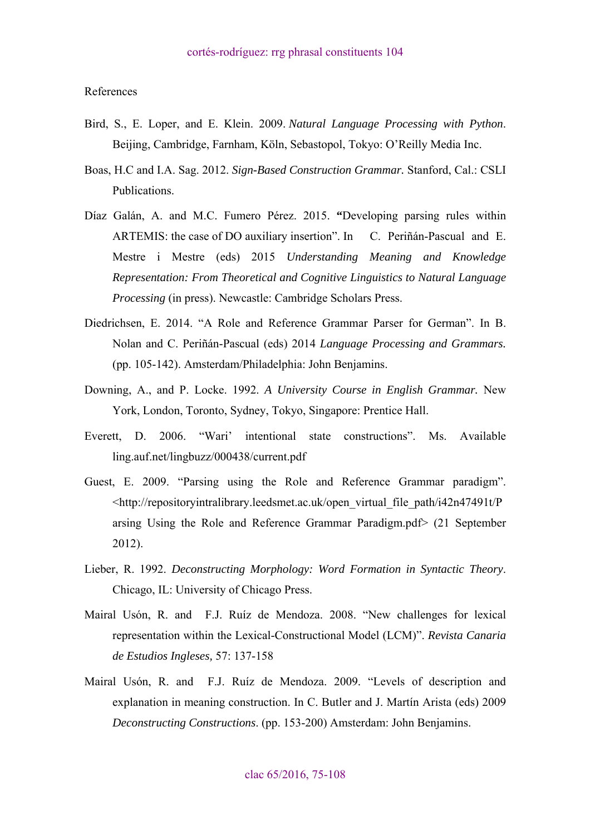<span id="page-29-0"></span>References

- Bird, S., E. Loper, and E. Klein. 2009. *Natural Language Processing with Python*. Beijing, Cambridge, Farnham, Köln, Sebastopol, Tokyo: O'Reilly Media Inc.
- Boas, H.C and I.A. Sag. 2012. *Sign-Based Construction Grammar.* Stanford, Cal.: CSLI Publications.
- Díaz Galán, A. and M.C. Fumero Pérez. 2015. **"**Developing parsing rules within ARTEMIS: the case of DO auxiliary insertion". In C. Periñán-Pascual and E. Mestre i Mestre (eds) 2015 *Understanding Meaning and Knowledge Representation: From Theoretical and Cognitive Linguistics to Natural Language Processing* (in press). Newcastle: Cambridge Scholars Press.
- Diedrichsen, E. 2014. "A Role and Reference Grammar Parser for German". In B. Nolan and C. Periñán-Pascual (eds) 2014 *Language Processing and Grammars.*  (pp. 105-142). Amsterdam/Philadelphia: John Benjamins.
- Downing, A., and P. Locke. 1992. *A University Course in English Grammar.* New York, London, Toronto, Sydney, Tokyo, Singapore: Prentice Hall.
- Everett, D. 2006. "Wari' intentional state constructions". Ms. Available ling.auf.net/lingbuzz/000438/current.pdf
- Guest, E. 2009. "Parsing using the Role and Reference Grammar paradigm". <http://repositoryintralibrary.leedsmet.ac.uk/open\_virtual\_file\_path/i42n47491t/P arsing Using the Role and Reference Grammar Paradigm.pdf> (21 September 2012).
- Lieber, R. 1992. *Deconstructing Morphology: Word Formation in Syntactic Theory*. Chicago, IL: University of Chicago Press.
- Mairal Usón, R. and F.J. Ruíz de Mendoza. 2008. "New challenges for lexical representation within the Lexical-Constructional Model (LCM)". *Revista Canaria de Estudios Ingleses,* 57: 137-158
- Mairal Usón, R. and F.J. Ruíz de Mendoza. 2009. "Levels of description and explanation in meaning construction. In C. Butler and J. Martín Arista (eds) 2009 *Deconstructing Constructions*. (pp. 153-200) Amsterdam: John Benjamins.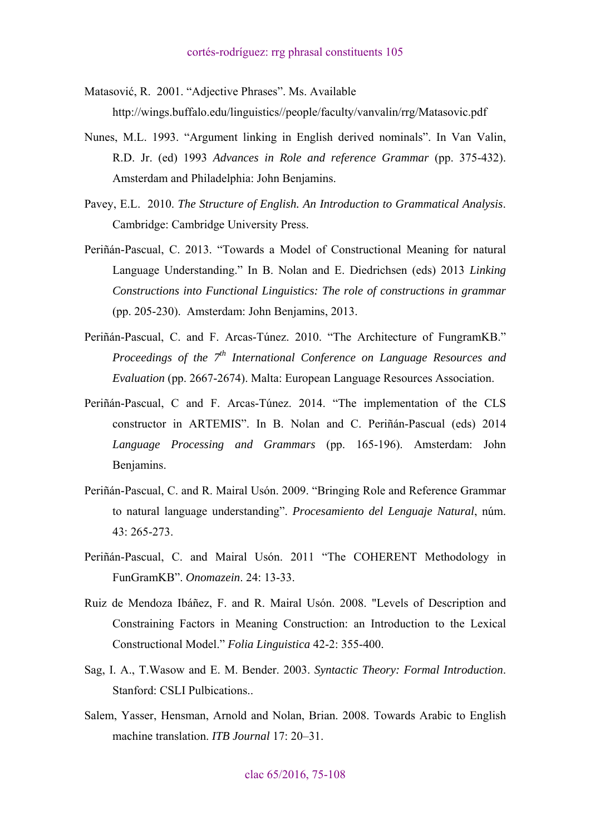Matasović, R. 2001. "Adjective Phrases". Ms. Available

http://wings.buffalo.edu/linguistics//people/faculty/vanvalin/rrg/Matasovic.pdf

- Nunes, M.L. 1993. "Argument linking in English derived nominals". In Van Valin, R.D. Jr. (ed) 1993 *Advances in Role and reference Grammar* (pp. 375-432). Amsterdam and Philadelphia: John Benjamins.
- Pavey, E.L. 2010. *The Structure of English. An Introduction to Grammatical Analysis*. Cambridge: Cambridge University Press.
- Periñán-Pascual, C. 2013. "Towards a Model of Constructional Meaning for natural Language Understanding." In B. Nolan and E. Diedrichsen (eds) 2013 *[Linking](https://benjamins.com/#catalog/books/slcs.145)  [Constructions into Functional Linguistics: The role of constructions in grammar](https://benjamins.com/#catalog/books/slcs.145)*  [\(pp. 205-230\).](https://benjamins.com/#catalog/books/slcs.145) Amsterdam: John Benjamins, 2013.
- Periñán-Pascual, C. and F. Arcas-Túnez. 2010. "The Architecture of FungramKB." *Proceedings of the 7<sup>th</sup> International Conference on Language Resources and Evaluation* (pp. 2667-2674). Malta: European Language Resources Association.
- Periñán-Pascual, C and F. Arcas-Túnez. 2014. "The implementation of the CLS constructor in ARTEMIS". In B. Nolan and C. Periñán-Pascual (eds) 2014 *[Language Processing and Grammars](http://www.jbe-platform.com/content/books/9789027270641;jsessionid=226mefb8bg61a.x-jbep-live-01)* (pp. 165-196). Amsterdam: John Benjamins.
- Periñán-Pascual, C. and R. Mairal Usón. 2009. "Bringing Role and Reference Grammar to natural language understanding". *Procesamiento del Lenguaje Natural*, núm.  $43 \cdot 265 - 273$
- Periñán-Pascual, C. and Mairal Usón. 2011 "The COHERENT Methodology in FunGramKB". *Onomazein*. 24: 13-33.
- Ruiz de Mendoza Ibáñez, F. and R. Mairal Usón. 2008. "Levels of Description and Constraining Factors in Meaning Construction: an Introduction to the Lexical Constructional Model." *Folia Linguistica* 42-2: 355-400.
- Sag, I. A., T.Wasow and E. M. Bender. 2003. *Syntactic Theory: Formal Introduction*. Stanford: CSLI Pulbications..
- Salem, Yasser, Hensman, Arnold and Nolan, Brian. 2008. Towards Arabic to English machine translation. *ITB Journal* 17: 20–31.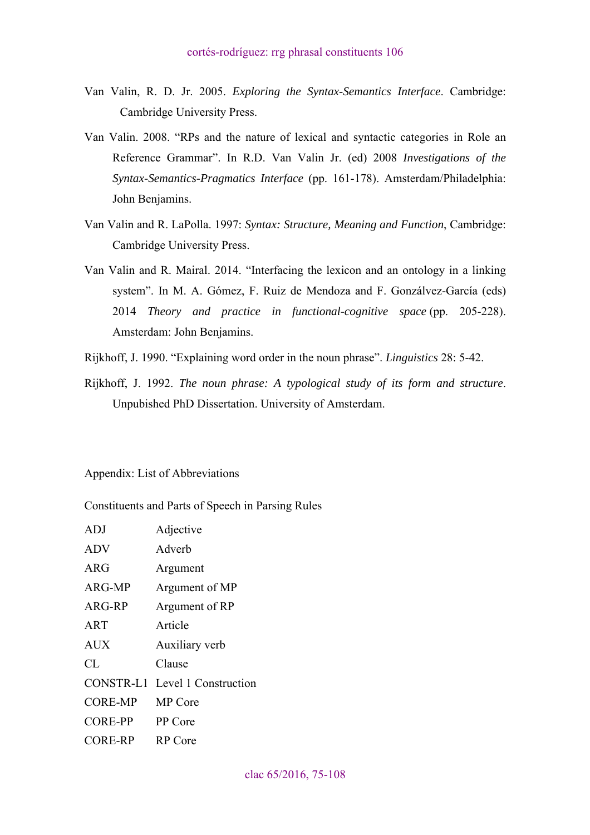- <span id="page-31-0"></span>Van Valin, R. D. Jr. 2005. *Exploring the Syntax-Semantics Interface*. Cambridge: Cambridge University Press.
- Van Valin. 2008. "RPs and the nature of lexical and syntactic categories in Role an Reference Grammar". In R.D. Van Valin Jr. (ed) 2008 *Investigations of the Syntax-Semantics-Pragmatics Interface* (pp. 161-178). Amsterdam/Philadelphia: John Benjamins.
- Van Valin and R. LaPolla. 1997: *Syntax: Structure, Meaning and Function*, Cambridge: Cambridge University Press.
- Van Valin and R. Mairal. 2014. "Interfacing the lexicon and an ontology in a linking system". In M. A. Gómez, F. Ruiz de Mendoza and F. Gonzálvez-García (eds) 2014 *Theory and practice in functional-cognitive space* (pp. 205-228). Amsterdam: John Benjamins.
- Rijkhoff, J. 1990. "Explaining word order in the noun phrase". *Linguistics* 28: 5-42.
- Rijkhoff, J. 1992. *The noun phrase: A typological study of its form and structure*. Unpubished PhD Dissertation. University of Amsterdam.

Appendix: List of Abbreviations

Constituents and Parts of Speech in Parsing Rules

| <b>ADJ</b>      | Adjective                      |
|-----------------|--------------------------------|
| <b>ADV</b>      | Adverb                         |
| <b>ARG</b>      | Argument                       |
| ARG-MP          | Argument of MP                 |
| ARG-RP          | Argument of RP                 |
| ART             | Article                        |
| <b>AUX</b>      | Auxiliary verb                 |
| CL              | Clause                         |
|                 | CONSTR-L1 Level 1 Construction |
| <b>CORE-MP</b>  | <b>MP</b> Core                 |
| <b>CORE-PP</b>  | PP Core                        |
| CORE-RP RP Core |                                |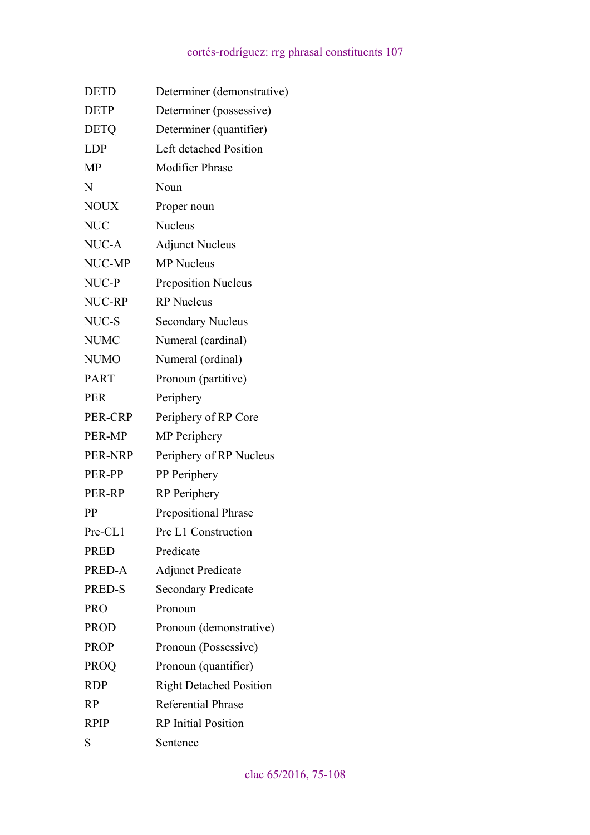| <b>DETD</b> | Determiner (demonstrative)     |
|-------------|--------------------------------|
| <b>DETP</b> | Determiner (possessive)        |
| <b>DETQ</b> | Determiner (quantifier)        |
| <b>LDP</b>  | Left detached Position         |
| MP          | <b>Modifier Phrase</b>         |
| N           | Noun                           |
| <b>NOUX</b> | Proper noun                    |
| <b>NUC</b>  | <b>Nucleus</b>                 |
| NUC-A       | <b>Adjunct Nucleus</b>         |
| NUC-MP      | <b>MP</b> Nucleus              |
| NUC-P       | <b>Preposition Nucleus</b>     |
| NUC-RP      | <b>RP</b> Nucleus              |
| NUC-S       | <b>Secondary Nucleus</b>       |
| <b>NUMC</b> | Numeral (cardinal)             |
| <b>NUMO</b> | Numeral (ordinal)              |
| <b>PART</b> | Pronoun (partitive)            |
| <b>PER</b>  | Periphery                      |
| PER-CRP     | Periphery of RP Core           |
| PER-MP      | <b>MP</b> Periphery            |
| PER-NRP     | Periphery of RP Nucleus        |
| PER-PP      | PP Periphery                   |
| PER-RP      | <b>RP</b> Periphery            |
| PP          | <b>Prepositional Phrase</b>    |
| $Pre-CL1$   | Pre L1 Construction            |
| <b>PRED</b> | Predicate                      |
| PRED-A      | <b>Adjunct Predicate</b>       |
| PRED-S      | <b>Secondary Predicate</b>     |
| <b>PRO</b>  | Pronoun                        |
| <b>PROD</b> | Pronoun (demonstrative)        |
| <b>PROP</b> | Pronoun (Possessive)           |
| <b>PROQ</b> | Pronoun (quantifier)           |
| <b>RDP</b>  | <b>Right Detached Position</b> |
| RP          | <b>Referential Phrase</b>      |
| <b>RPIP</b> | <b>RP</b> Initial Position     |
| S           | Sentence                       |